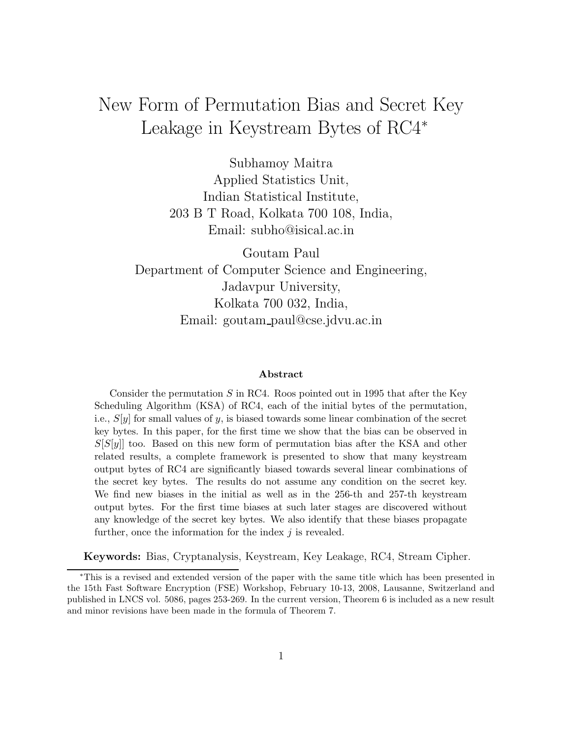# New Form of Permutation Bias and Secret Key Leakage in Keystream Bytes of RC4<sup>∗</sup>

Subhamoy Maitra Applied Statistics Unit, Indian Statistical Institute, 203 B T Road, Kolkata 700 108, India, Email: subho@isical.ac.in

Goutam Paul Department of Computer Science and Engineering, Jadavpur University, Kolkata 700 032, India, Email: goutam paul@cse.jdvu.ac.in

#### Abstract

Consider the permutation  $S$  in RC4. Roos pointed out in 1995 that after the Key Scheduling Algorithm (KSA) of RC4, each of the initial bytes of the permutation, i.e.,  $S[y]$  for small values of y, is biased towards some linear combination of the secret key bytes. In this paper, for the first time we show that the bias can be observed in  $S[S|y]$  too. Based on this new form of permutation bias after the KSA and other related results, a complete framework is presented to show that many keystream output bytes of RC4 are significantly biased towards several linear combinations of the secret key bytes. The results do not assume any condition on the secret key. We find new biases in the initial as well as in the 256-th and 257-th keystream output bytes. For the first time biases at such later stages are discovered without any knowledge of the secret key bytes. We also identify that these biases propagate further, once the information for the index  $j$  is revealed.

Keywords: Bias, Cryptanalysis, Keystream, Key Leakage, RC4, Stream Cipher.

<sup>∗</sup>This is a revised and extended version of the paper with the same title which has been presented in the 15th Fast Software Encryption (FSE) Workshop, February 10-13, 2008, Lausanne, Switzerland and published in LNCS vol. 5086, pages 253-269. In the current version, Theorem 6 is included as a new result and minor revisions have been made in the formula of Theorem 7.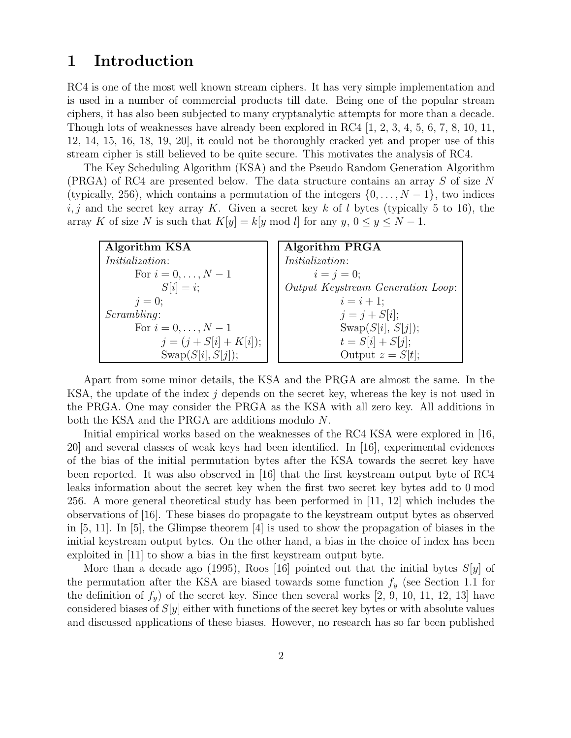## 1 Introduction

RC4 is one of the most well known stream ciphers. It has very simple implementation and is used in a number of commercial products till date. Being one of the popular stream ciphers, it has also been subjected to many cryptanalytic attempts for more than a decade. Though lots of weaknesses have already been explored in RC4 [1, 2, 3, 4, 5, 6, 7, 8, 10, 11, 12, 14, 15, 16, 18, 19, 20], it could not be thoroughly cracked yet and proper use of this stream cipher is still believed to be quite secure. This motivates the analysis of RC4.

The Key Scheduling Algorithm (KSA) and the Pseudo Random Generation Algorithm (PRGA) of RC4 are presented below. The data structure contains an array S of size N (typically, 256), which contains a permutation of the integers  $\{0, \ldots, N-1\}$ , two indices i, j and the secret key array K. Given a secret key k of l bytes (typically 5 to 16), the array K of size N is such that  $K[y] = k[y \mod l]$  for any  $y, 0 \le y \le N - 1$ .

| Algorithm KSA            | Algorithm PRGA                    |
|--------------------------|-----------------------------------|
| <i>Initialization:</i>   | <i>Initialization:</i>            |
| For $i = 0, , N - 1$     | $i = j = 0;$                      |
| $S[i] = i;$              | Output Keystream Generation Loop: |
| $i=0$ ;                  | $i = i + 1$ ;                     |
| Scrambling:              | $j = j + S[i];$                   |
| For $i = 0, , N - 1$     | Swap $(S[i], S[j])$ ;             |
| $j = (j + S[i] + K[i]);$ | $t = S[i] + S[j];$                |
| $Swap(S[i], S[j])$ ;     | Output $z = S[t]$ ;               |

Apart from some minor details, the KSA and the PRGA are almost the same. In the KSA, the update of the index  $j$  depends on the secret key, whereas the key is not used in the PRGA. One may consider the PRGA as the KSA with all zero key. All additions in both the KSA and the PRGA are additions modulo N.

Initial empirical works based on the weaknesses of the RC4 KSA were explored in [16, 20] and several classes of weak keys had been identified. In [16], experimental evidences of the bias of the initial permutation bytes after the KSA towards the secret key have been reported. It was also observed in [16] that the first keystream output byte of RC4 leaks information about the secret key when the first two secret key bytes add to 0 mod 256. A more general theoretical study has been performed in [11, 12] which includes the observations of [16]. These biases do propagate to the keystream output bytes as observed in [5, 11]. In [5], the Glimpse theorem [4] is used to show the propagation of biases in the initial keystream output bytes. On the other hand, a bias in the choice of index has been exploited in [11] to show a bias in the first keystream output byte.

More than a decade ago (1995), Roos [16] pointed out that the initial bytes  $S[y]$  of the permutation after the KSA are biased towards some function  $f_y$  (see Section 1.1 for the definition of  $f_y$  of the secret key. Since then several works [2, 9, 10, 11, 12, 13] have considered biases of  $S[y]$  either with functions of the secret key bytes or with absolute values and discussed applications of these biases. However, no research has so far been published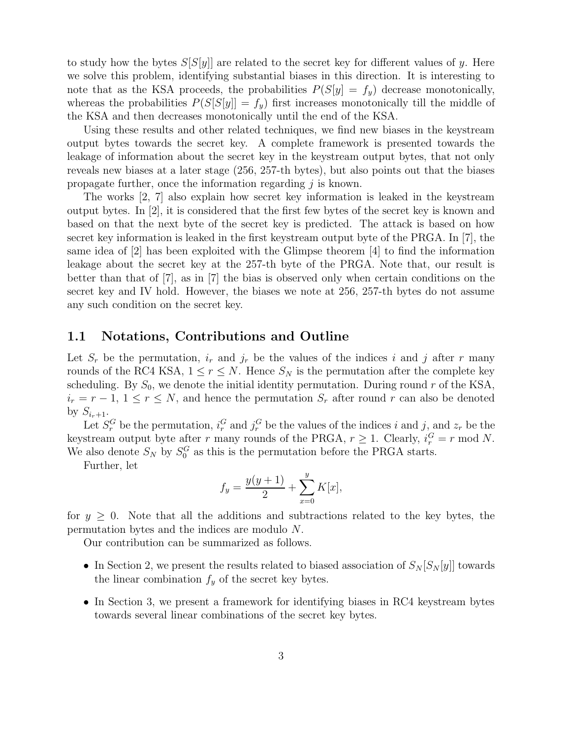to study how the bytes  $S[S[y]]$  are related to the secret key for different values of y. Here we solve this problem, identifying substantial biases in this direction. It is interesting to note that as the KSA proceeds, the probabilities  $P(S[y] = f_y)$  decrease monotonically, whereas the probabilities  $P(S[S|y]) = f_y$  first increases monotonically till the middle of the KSA and then decreases monotonically until the end of the KSA.

Using these results and other related techniques, we find new biases in the keystream output bytes towards the secret key. A complete framework is presented towards the leakage of information about the secret key in the keystream output bytes, that not only reveals new biases at a later stage (256, 257-th bytes), but also points out that the biases propagate further, once the information regarding  $j$  is known.

The works [2, 7] also explain how secret key information is leaked in the keystream output bytes. In [2], it is considered that the first few bytes of the secret key is known and based on that the next byte of the secret key is predicted. The attack is based on how secret key information is leaked in the first keystream output byte of the PRGA. In [7], the same idea of [2] has been exploited with the Glimpse theorem [4] to find the information leakage about the secret key at the 257-th byte of the PRGA. Note that, our result is better than that of [7], as in [7] the bias is observed only when certain conditions on the secret key and IV hold. However, the biases we note at 256, 257-th bytes do not assume any such condition on the secret key.

#### 1.1 Notations, Contributions and Outline

Let  $S_r$  be the permutation,  $i_r$  and  $j_r$  be the values of the indices i and j after r many rounds of the RC4 KSA,  $1 \leq r \leq N$ . Hence  $S_N$  is the permutation after the complete key scheduling. By  $S_0$ , we denote the initial identity permutation. During round r of the KSA,  $i_r = r - 1, 1 \le r \le N$ , and hence the permutation  $S_r$  after round r can also be denoted by  $S_{i_r+1}$ .

Let  $S_r^G$  be the permutation,  $i_r^G$  and  $j_r^G$  be the values of the indices i and j, and  $z_r$  be the keystream output byte after r many rounds of the PRGA,  $r \geq 1$ . Clearly,  $i_r^G = r \mod N$ . We also denote  $S_N$  by  $S_0^G$  as this is the permutation before the PRGA starts.

Further, let

$$
f_y = \frac{y(y+1)}{2} + \sum_{x=0}^{y} K[x],
$$

for  $y \geq 0$ . Note that all the additions and subtractions related to the key bytes, the permutation bytes and the indices are modulo N.

Our contribution can be summarized as follows.

- In Section 2, we present the results related to biased association of  $S_N[S_N[y]]$  towards the linear combination  $f_y$  of the secret key bytes.
- In Section 3, we present a framework for identifying biases in RC4 keystream bytes towards several linear combinations of the secret key bytes.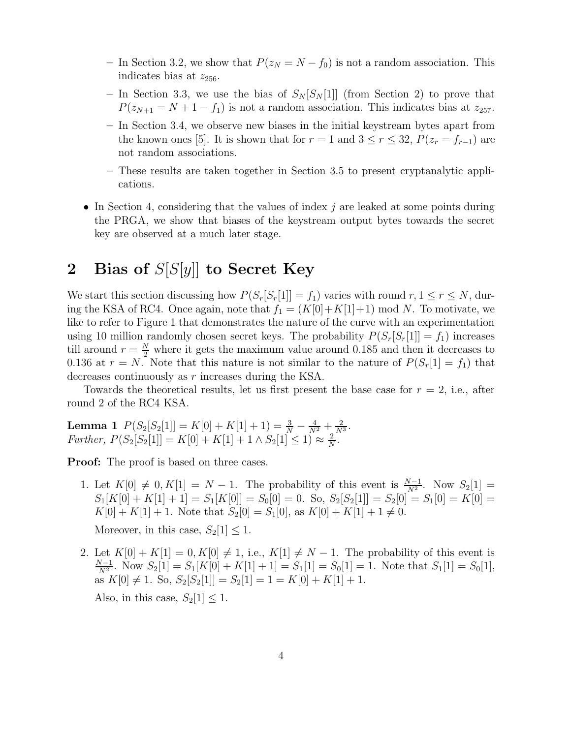- In Section 3.2, we show that  $P(z_N = N f_0)$  is not a random association. This indicates bias at  $z_{256}$ .
- In Section 3.3, we use the bias of  $S_N[S_N[1]]$  (from Section 2) to prove that  $P(z_{N+1} = N + 1 - f_1)$  is not a random association. This indicates bias at  $z_{257}$ .
- In Section 3.4, we observe new biases in the initial keystream bytes apart from the known ones [5]. It is shown that for  $r = 1$  and  $3 \le r \le 32$ ,  $P(z_r = f_{r-1})$  are not random associations.
- These results are taken together in Section 3.5 to present cryptanalytic applications.
- In Section 4, considering that the values of index  $j$  are leaked at some points during the PRGA, we show that biases of the keystream output bytes towards the secret key are observed at a much later stage.

## 2 Bias of  $S[S[y]]$  to Secret Key

We start this section discussing how  $P(S_r[S_r[1]] = f_1)$  varies with round  $r, 1 \le r \le N$ , during the KSA of RC4. Once again, note that  $f_1 = (K[0]+K[1]+1) \text{ mod } N$ . To motivate, we like to refer to Figure 1 that demonstrates the nature of the curve with an experimentation using 10 million randomly chosen secret keys. The probability  $P(S_r[S_r[1]] = f_1)$  increases till around  $r = \frac{N}{2}$  where it gets the maximum value around 0.185 and then it decreases to 0.136 at  $r = N$ . Note that this nature is not similar to the nature of  $P(S_r[1] = f_1)$  that decreases continuously as r increases during the KSA.

Towards the theoretical results, let us first present the base case for  $r = 2$ , i.e., after round 2 of the RC4 KSA.

**Lemma 1**  $P(S_2[S_2[1]] = K[0] + K[1] + 1) = \frac{3}{N} - \frac{4}{N^2} + \frac{2}{N^3}$ .  $Further, P(S_2[S_2[1]] = K[0] + K[1] + 1 \wedge S_2[1] \leq 1) \approx \frac{2}{N}$  $\frac{2}{N}$  .

**Proof:** The proof is based on three cases.

- 1. Let  $K[0] \neq 0, K[1] = N 1$ . The probability of this event is  $\frac{N-1}{N^2}$ . Now  $S_2[1] =$  $S_1[K[0] + K[1] + 1] = S_1[K[0]] = S_0[0] = 0.$  So,  $S_2[S_2[1]] = S_2[0] = S_1[0] = K[0] =$  $K[0] + K[1] + 1$ . Note that  $S_2[0] = S_1[0]$ , as  $K[0] + K[1] + 1 \neq 0$ . Moreover, in this case,  $S_2[1] \leq 1$ .
- 2. Let  $K[0] + K[1] = 0, K[0] \neq 1$ , i.e.,  $K[1] \neq N 1$ . The probability of this event is  $N-1$  $\frac{N-1}{N^2}$ . Now  $S_2[1] = S_1[K[0] + K[1] + 1] = S_1[1] = S_0[1] = 1$ . Note that  $S_1[1] = S_0[1]$ , as  $K[0] \neq 1$ . So,  $S_2[S_2[1]] = S_2[1] = 1 = K[0] + K[1] + 1$ . Also, in this case,  $S_2[1] \leq 1$ .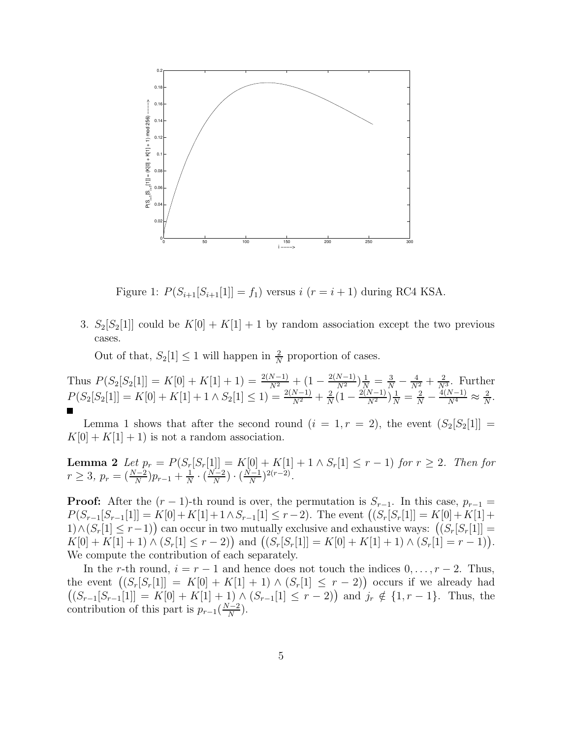

Figure 1:  $P(S_{i+1}[S_{i+1}[1]] = f_1)$  versus  $i (r = i + 1)$  during RC4 KSA.

3.  $S_2[S_2[1]]$  could be  $K[0] + K[1] + 1$  by random association except the two previous cases.

Out of that,  $S_2[1] \leq 1$  will happen in  $\frac{2}{N}$  proportion of cases.

Thus  $P(S_2[S_2[1]] = K[0] + K[1] + 1) = \frac{2(N-1)}{N^2} + (1 - \frac{2(N-1)}{N^2})\frac{1}{N} = \frac{3}{N} - \frac{4}{N^2} + \frac{2}{N^3}$ . Further  $P(S_2[S_2[1]] = K[0] + K[1] + 1 \wedge S_2[1] \leq 1) = \frac{2(N-1)}{N^2} + \frac{2}{N}$  $\frac{2}{N} \left(1 - \frac{2(N-1)}{N^2}\right) \frac{1}{N} = \frac{2}{N} - \frac{4(N-1)}{N^4} \approx \frac{2}{N}$  $\frac{2}{N}$ .

Lemma 1 shows that after the second round  $(i = 1, r = 2)$ , the event  $(S_2[S_2[1]] =$  $K[0] + K[1] + 1$  is not a random association.

**Lemma 2** Let  $p_r = P(S_r[S_r[1]] = K[0] + K[1] + 1 \wedge S_r[1] \le r - 1)$  for  $r \ge 2$ . Then for  $r \geq 3, p_r = (\frac{N-2}{N})$  $\frac{N-2}{N}$ ) $p_{r-1} + \frac{1}{N}$  $\frac{1}{N} \cdot \left(\frac{N-2}{N}\right)$  $\frac{N-2}{N}$ )  $\cdot$   $\left(\frac{N-1}{N}\right)$  $\frac{(r-1)}{N}$ <sup>2(r-2)</sup>.

**Proof:** After the  $(r-1)$ -th round is over, the permutation is  $S_{r-1}$ . In this case,  $p_{r-1}$  $P(S_{r-1}[S_{r-1}[1]] = K[0] + K[1] + 1 \wedge S_{r-1}[1] \leq r-2)$ . The event  $((S_r[S_r[1]] = K[0] + K[1] +$ 1)∧(Sr[1] ≤ r-1) can occur in two mutually exclusive and exhaustive ways:  $((S_r[S_r[1]] =$  $K[0] + K[1] + 1) \wedge (S_r[1] \leq r - 2)$  and  $((S_r[S_r[1]] = K[0] + K[1] + 1) \wedge (S_r[1] = r - 1)).$ We compute the contribution of each separately.

In the r-th round,  $i = r - 1$  and hence does not touch the indices  $0, \ldots, r - 2$ . Thus, the event  $((S_r[S_r[1]] = K[0] + K[1] + 1) \wedge (S_r[1] \leq r - 2)$  occurs if we already had  $((S_{r-1}[S_{r-1}[1]] = K[0] + K[1] + 1) \wedge (S_{r-1}[1] \leq r-2))$  and  $j_r \notin \{1, r-1\}$ . Thus, the contribution of this part is  $p_{r-1}(\frac{N-2}{N})$  $\frac{(-2)}{N}$ ).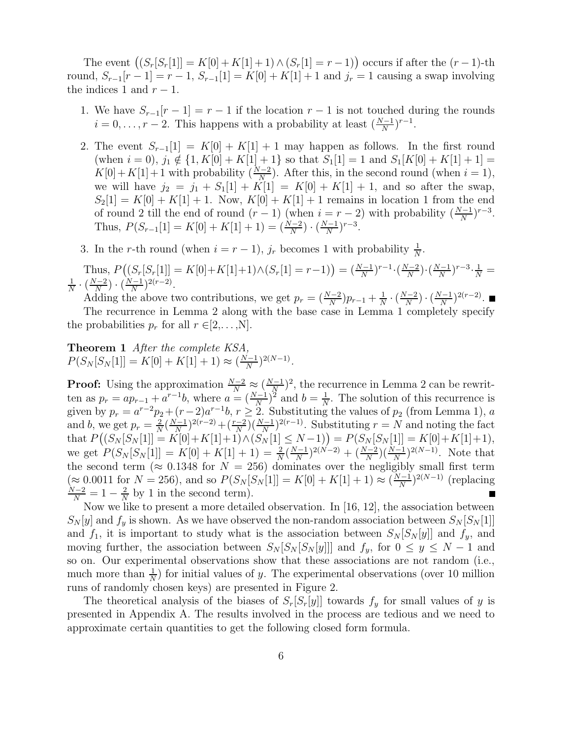The event  $((S_r[S_r[1]] = K[0] + K[1] + 1) \wedge (S_r[1] = r - 1))$  occurs if after the  $(r - 1)$ -th round,  $S_{r-1}[r-1] = r-1$ ,  $S_{r-1}[1] = K[0] + K[1] + 1$  and  $j_r = 1$  causing a swap involving the indices 1 and  $r - 1$ .

- 1. We have  $S_{r-1}[r-1] = r-1$  if the location  $r-1$  is not touched during the rounds  $i = 0, \ldots, r-2$ . This happens with a probability at least  $\left(\frac{N-1}{N}\right)$  $\frac{N-1}{N}$ )<sup>r-1</sup>.
- 2. The event  $S_{r-1}[1] = K[0] + K[1] + 1$  may happen as follows. In the first round (when  $i = 0$ ),  $j_1 \notin \{1, K[0] + K[1] + 1\}$  so that  $S_1[1] = 1$  and  $S_1[K[0] + K[1] + 1] =$  $K[0]+K[1]+1$  with probability  $\left(\frac{N-2}{N}\right)$  $\frac{N-2}{N}$ ). After this, in the second round (when  $i = 1$ ), we will have  $j_2 = j_1 + S_1[1] + K[1] = K[0] + K[1] + 1$ , and so after the swap,  $S_2[1] = K[0] + K[1] + 1$ . Now,  $K[0] + K[1] + 1$  remains in location 1 from the end of round 2 till the end of round  $(r-1)$  (when  $i = r-2$ ) with probability  $\left(\frac{N-1}{N}\right)$  $\frac{N-1}{N}$ <sup>r-3</sup>. Thus,  $P(S_{r-1}[1] = K[0] + K[1] + 1) = (\frac{N-2}{N})$  $\frac{N-1}{N}$ )  $\cdot$   $\left(\frac{N-1}{N}\right)$  $\frac{N-1}{N}$ )<sup>r-3</sup>.

3. In the r-th round (when  $i = r - 1$ ),  $j_r$  becomes 1 with probability  $\frac{1}{N}$  $\frac{1}{N}$ .

Thus, 
$$
P((S_r[S_r[1]) = K[0]+K[1]+1) \wedge (S_r[1] = r-1)) = (\frac{N-1}{N})^{r-1} \cdot (\frac{N-2}{N}) \cdot (\frac{N-1}{N})^{r-3} \cdot \frac{1}{N} = \frac{1}{N} \cdot (\frac{N-2}{N}) \cdot (\frac{N-1}{N})^{2(r-2)}
$$
.

Adding the above two contributions, we get  $p_r = (\frac{N-2}{N})$  $\frac{N-2}{N}$ ) $p_{r-1} + \frac{1}{N}$  $\frac{1}{N} \cdot \left(\frac{N-2}{N}\right)$  $\frac{N-2}{N}$ )  $\cdot$   $\left(\frac{N-1}{N}\right)$  $\frac{N-1}{N}$ )<sup>2(r-2)</sup>. The recurrence in Lemma 2 along with the base case in Lemma 1 completely specify the probabilities  $p_r$  for all  $r \in [2,\ldots,N]$ .

Theorem 1 After the complete KSA,  $P(S_N[S_N[1]] = K[0] + K[1] + 1) \approx (\frac{N-1}{N})$  $\frac{(N-1)}{N}$ <sup>2(N-1)</sup>.

**Proof:** Using the approximation  $\frac{N-2}{N} \approx \left(\frac{N-1}{N}\right)$  $(\frac{N-1}{N})^2$ , the recurrence in Lemma 2 can be rewritten as  $p_r = ap_{r-1} + a^{r-1}b$ , where  $a = (\frac{N-1}{N})$  $\frac{(b-1)}{N}$ <sup>2</sup> and  $b = \frac{1}{N}$  $\frac{1}{N}$ . The solution of this recurrence is given by  $p_r = a^{r-2}p_2 + (r-2)a^{r-1}b$ ,  $r \ge 2$ . Substituting the values of  $p_2$  (from Lemma 1), a and b, we get  $p_r = \frac{2}{N}$  $\frac{2}{N}(\frac{N-1}{N})$  $\frac{(r-1)}{N})^{2(r-2)}+(\frac{r-2}{N})$  $\frac{(-2)}{N}(\frac{N-1}{N})^{2(r-1)}$ . Substituting  $r = N$  and noting the fact that  $P((S_N[S_N[1]] = K[0]+ K[1]+1) \wedge (S_N[1] \leq N-1)) = P(S_N[S_N[1]] = K[0]+ K[1]+1),$ we get  $P(S_N[S_N[1]] = K[0] + K[1] + 1) = \frac{2}{N}$  $\frac{2}{N}(\frac{N-1}{N})$  $\frac{(N-1)}{N})^{2(N-2)} + (\frac{N-2}{N})$  $\frac{(N-1)}{N}$  $\left(\frac{N-1}{N}\right)^{2(N-1)}$ . Note that the second term ( $\approx 0.1348$  for  $N = 256$ ) dominates over the negligibly small first term  $(\approx 0.0011$  for  $N = 256$ ), and so  $P(S_N[S_N[1]] = K[0] + K[1] + 1) \approx \left(\frac{N-1}{N}\right)$  $\frac{N-1}{N}$ )<sup>2(N-1)</sup> (replacing  $\frac{N-2}{N} = 1 - \frac{2}{N}$  $\frac{2}{N}$  by 1 in the second term).

Now we like to present a more detailed observation. In [16, 12], the association between  $S_N[y]$  and  $f_y$  is shown. As we have observed the non-random association between  $S_N[S_N[1]]$ and  $f_1$ , it is important to study what is the association between  $S_N[S_N[y]]$  and  $f_y$ , and moving further, the association between  $S_N[S_N[S_N[y]]]$  and  $f_y$ , for  $0 \le y \le N - 1$  and so on. Our experimental observations show that these associations are not random (i.e., much more than  $\frac{1}{N}$ ) for initial values of y. The experimental observations (over 10 million runs of randomly chosen keys) are presented in Figure 2.

The theoretical analysis of the biases of  $S_r[S_r[y]]$  towards  $f_y$  for small values of y is presented in Appendix A. The results involved in the process are tedious and we need to approximate certain quantities to get the following closed form formula.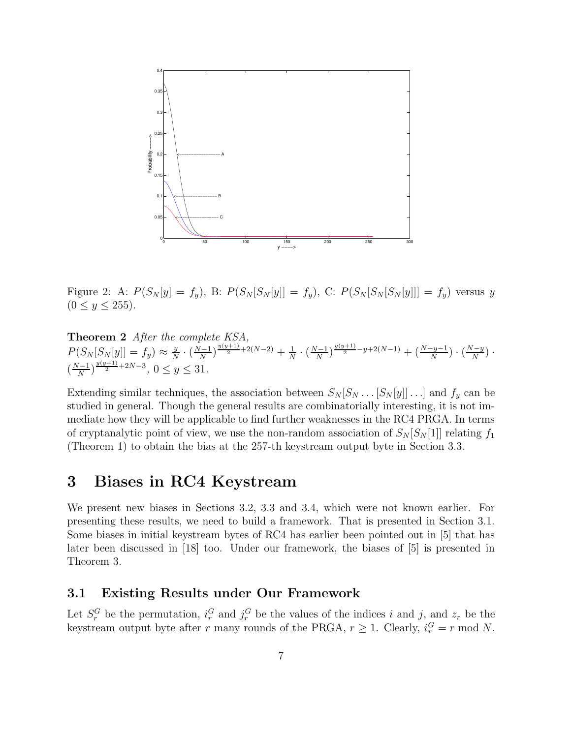

Figure 2: A:  $P(S_N[y] = f_y)$ , B:  $P(S_N[S_N[y]] = f_y)$ , C:  $P(S_N[S_N[y]]] = f_y)$  versus y  $(0 \le y \le 255)$ .

Theorem 2 After the complete KSA,  $P(S_N[S_N[y]] = f_y) \approx \frac{y}{N}$  $\frac{y}{N} \cdot \left(\frac{N-1}{N}\right)$  $\frac{N-1}{N}$ ) $\frac{y(y+1)}{2}$ +2(N-2) +  $\frac{1}{N}$  $\frac{1}{N} \cdot \left(\frac{N-1}{N}\right)$  $\frac{N^{(y+1)}}{N}$ <sup>y(y+1)</sup> -y+2(N-1) + ( $\frac{N-y-1}{N}$  $\frac{-y-1}{N}$ )  $\cdot$   $\left(\frac{N-y}{N}\right)$  $\frac{(-y)}{N}$ ).  $\left(\frac{N-1}{N}\right)$  $\frac{y(y+1)}{N}$ <sup>y(y+1)</sup>+2N-3, 0 ≤ y ≤ 31.

Extending similar techniques, the association between  $S_N[S_N \dots [S_N [y]] \dots]$  and  $f_y$  can be studied in general. Though the general results are combinatorially interesting, it is not immediate how they will be applicable to find further weaknesses in the RC4 PRGA. In terms of cryptanalytic point of view, we use the non-random association of  $S_N[S_N[1]]$  relating  $f_1$ (Theorem 1) to obtain the bias at the 257-th keystream output byte in Section 3.3.

## 3 Biases in RC4 Keystream

We present new biases in Sections 3.2, 3.3 and 3.4, which were not known earlier. For presenting these results, we need to build a framework. That is presented in Section 3.1. Some biases in initial keystream bytes of RC4 has earlier been pointed out in [5] that has later been discussed in [18] too. Under our framework, the biases of [5] is presented in Theorem 3.

#### 3.1 Existing Results under Our Framework

Let  $S_r^G$  be the permutation,  $i_r^G$  and  $j_r^G$  be the values of the indices i and j, and  $z_r$  be the r keystream output byte after r many rounds of the PRGA,  $r \geq 1$ . Clearly,  $i_r^G = r \mod N$ .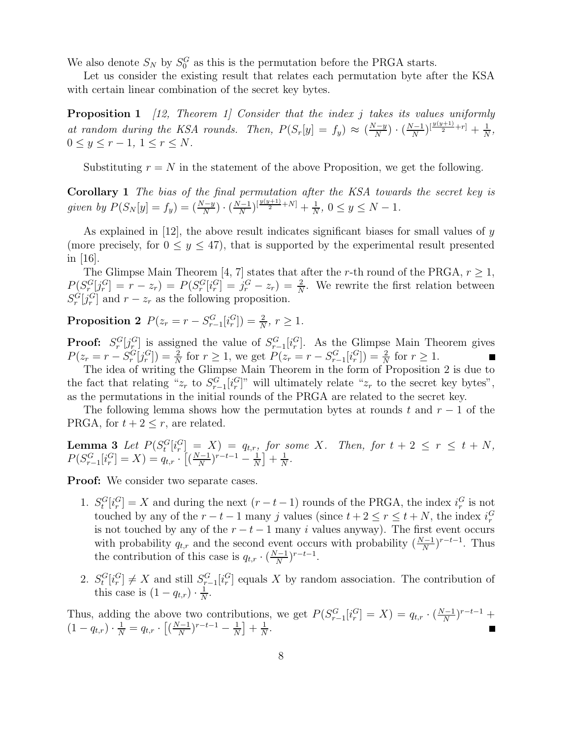We also denote  $S_N$  by  $S_0^G$  as this is the permutation before the PRGA starts.

Let us consider the existing result that relates each permutation byte after the KSA with certain linear combination of the secret key bytes.

**Proposition 1** [12, Theorem 1] Consider that the index j takes its values uniformly at random during the KSA rounds. Then,  $P(S_r[y] = f_y) \approx (\frac{N-y}{N})$  $\frac{N-y}{N}$ )  $\cdot$   $\left(\frac{N-1}{N}\right)$  $\frac{N}{N}\big)^{\left[\frac{y(y+1)}{2}+r\right]} + \frac{1}{N}$  $\frac{1}{N}$ ,  $0 \leq y \leq r-1, 1 \leq r \leq N.$ 

Substituting  $r = N$  in the statement of the above Proposition, we get the following.

Corollary 1 The bias of the final permutation after the KSA towards the secret key is given by  $P(S_N[y] = f_y) = \left(\frac{N-y}{N}\right)$  $\frac{N-y}{N}$ )  $\cdot$   $\left(\frac{N-1}{N}\right)$  $\frac{N}{N}\big)^{\left[\frac{y(y+1)}{2}+N\right]}+\frac{1}{N}$  $\frac{1}{N}$ ,  $0 \le y \le N - 1$ .

As explained in  $[12]$ , the above result indicates significant biases for small values of y (more precisely, for  $0 \le y \le 47$ ), that is supported by the experimental result presented in  $|16|$ .

The Glimpse Main Theorem [4, 7] states that after the r-th round of the PRGA,  $r > 1$ ,  $P(S_r^G[j_r^G] = r - z_r) = P(S_r^G[i_r^G] = j_r^G - z_r) = \frac{2}{N}$  $\frac{2}{N}$ . We rewrite the first relation between  $S_r^G[j_r^G]$  and  $r - z_r$  as the following proposition.

Proposition 2  $P(z_r = r - S_{r-1}^G[i_r^G]) = \frac{2}{N}$  $\frac{2}{N}$ ,  $r \geq 1$ .

**Proof:**  $S_r^G[j_r^G]$  is assigned the value of  $S_{r-1}^G[i_r^G]$ . As the Glimpse Main Theorem gives  $P(z_r = r - S_r^G[j_r^G]) = \frac{2}{N}$  $\frac{2}{N}$  for  $r \ge 1$ , we get  $P(z_r = r - S_{r-1}^G[i_r^G]) = \frac{2}{N}$  $\frac{2}{N}$  for  $r \geq 1$ .

The idea of writing the Glimpse Main Theorem in the form of Proposition 2 is due to the fact that relating " $z_r$  to  $S_{r-1}^G[i_r^G]$ " will ultimately relate " $z_r$  to the secret key bytes", as the permutations in the initial rounds of the PRGA are related to the secret key.

The following lemma shows how the permutation bytes at rounds t and  $r-1$  of the PRGA, for  $t + 2 \leq r$ , are related.

**Lemma 3** Let  $P(S_t^G[i_r^G] = X) = q_{t,r}$ , for some X. Then, for  $t + 2 \leq r \leq t + N$ ,  $P(S_{r-1}^G[i_r^G] = X) = q_{t,r} \cdot \left[ \left( \frac{N-1}{N} \right) \right]$  $\frac{N-1}{N}$ )<sup>r-t-1</sup> –  $\frac{1}{N}$  $\frac{1}{N}$  +  $\frac{1}{N}$  $\frac{1}{N}$ .

**Proof:** We consider two separate cases.

- 1.  $S_t^G[i_r^G] = X$  and during the next  $(r-t-1)$  rounds of the PRGA, the index  $i_r^G$  is not touched by any of the  $r - t - 1$  many j values (since  $t + 2 \le r \le t + N$ , the index  $i_r^G$ is not touched by any of the  $r - t - 1$  many i values anyway). The first event occurs with probability  $q_{t,r}$  and the second event occurs with probability  $\left(\frac{N-1}{N}\right)$  $\frac{N-1}{N}$ <sup>r-t-1</sup>. Thus the contribution of this case is  $q_{t,r} \cdot (\frac{N-1}{N})$  $\frac{N-1}{N}$ )<sup>r-t-1</sup>.
- 2.  $S_t^G[i_r^G] \neq X$  and still  $S_{r-1}^G[i_r^G]$  equals X by random association. The contribution of this case is  $(1 - q_{t,r}) \cdot \frac{1}{N}$  $\frac{1}{N}$ .

Thus, adding the above two contributions, we get  $P(S_{r-1}^G[i_r^G] = X) = q_{t,r} \cdot (\frac{N-1}{N})$  $\frac{N-1}{N}$ )<sup>r-t-1</sup> +  $(1 - q_{t,r}) \cdot \frac{1}{N} = q_{t,r} \cdot \left[ \left( \frac{N-1}{N} \right) \right]$  $\frac{(-1)}{N}$ <sup>r-t-1</sup> –  $\frac{1}{N}$  $\frac{1}{N}$  +  $\frac{1}{N}$  $\frac{1}{N}$ .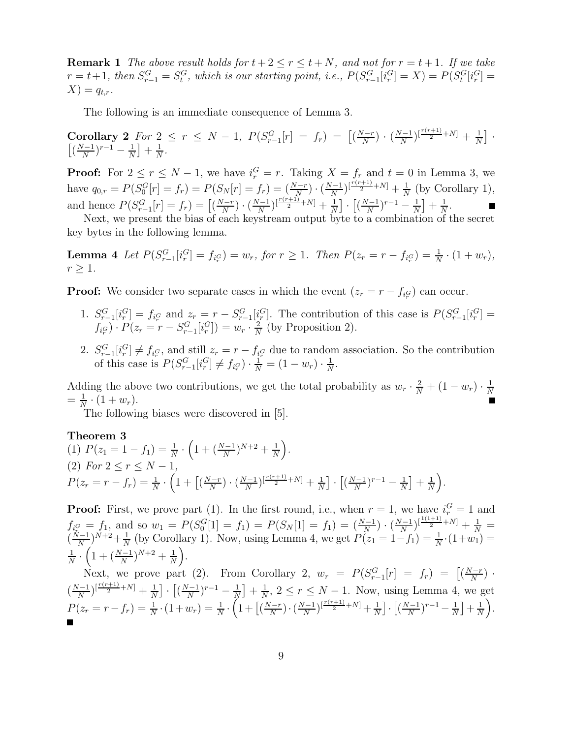**Remark 1** The above result holds for  $t + 2 \le r \le t + N$ , and not for  $r = t + 1$ . If we take  $r = t + 1$ , then  $S_{r-1}^G = S_t^G$ , which is our starting point, i.e.,  $P(S_{r-1}^G[i_r^G] = X) = P(S_t^G[i_r^G] = X)$  $X$ ) =  $q_{t,r}$ .

The following is an immediate consequence of Lemma 3.

Corollary 2 *For*  $2 \le r \le N - 1$ ,  $P(S_{r-1}^G[r] = f_r) = [(\frac{N-r}{N}]$  $\frac{N-r}{N}$ )  $\cdot$   $\left(\frac{N-1}{N}\right)$  $\frac{N}{N}$ ) $\left[\frac{r(r+1)}{2}+N\right]$  +  $\frac{1}{N}$  $\frac{1}{N}$ .  $\left(\frac{N-1}{N}\right)$  $\frac{N-1}{N}$ )<sup>r-1</sup> –  $\frac{1}{N}$  $\frac{1}{N}$  +  $\frac{1}{N}$  $\frac{1}{N}$ .

**Proof:** For  $2 \le r \le N - 1$ , we have  $i_r^G = r$ . Taking  $X = f_r$  and  $t = 0$  in Lemma 3, we have  $q_{0,r} = P(S_0^G[r] = f_r) = P(S_N[r] = f_r) = \left(\frac{N-r}{N}\right)$  $\frac{N-r}{N}$ )  $\cdot$   $\left(\frac{N-1}{N}\right)$  $\frac{N-1}{N}$ ) $\left[\frac{r(r+1)}{2}+N\right]$  +  $\frac{1}{N}$  $\frac{1}{N}$  (by Corollary 1), and hence  $P(S_{r-1}^G[r] = f_r) = \left[\frac{N-r}{N}\right]$  $\frac{N-r}{N}$ )  $\cdot$   $\left(\frac{N-1}{N}\right)$  $\frac{N}{N}\big)^{\left[\frac{r(r+1)}{2}+N\right]}+\frac{1}{N}$  $\frac{1}{N}$   $\cdot$   $\left[\left(\frac{N-1}{N}\right)$  $\frac{(r-1)}{N}$ <sup>r-1</sup> –  $\frac{1}{N}$  $\frac{1}{N}$  +  $\frac{1}{N}$  $\frac{1}{N}$ .

Next, we present the bias of each keystream output byte to a combination of the secret key bytes in the following lemma.

**Lemma 4** Let  $P(S_{r-1}^G[i_r^G] = f_{i_r^G}) = w_r$ , for  $r \ge 1$ . Then  $P(z_r = r - f_{i_r^G}) = \frac{1}{N}$  $\frac{1}{N} \cdot (1 + w_r),$  $r > 1$ .

**Proof:** We consider two separate cases in which the event  $(z_r = r - f_{i_r}$  can occur.

- 1.  $S_{r-1}^G[i_r^G] = f_{i_r^G}$  and  $z_r = r S_{r-1}^G[i_r^G]$ . The contribution of this case is  $P(S_{r-1}^G[i_r^G] =$  $f_{i_r}$  $\cdot P(z_r = r - S_{r-1}^G[i_r^G]) = w_r \cdot \frac{2}{N}$  $\frac{2}{N}$  (by Proposition 2).
- 2.  $S_{r-1}^G[i_r^G] \neq f_{i_r^G}$ , and still  $z_r = r f_{i_r^G}$  due to random association. So the contribution of this case is  $P(S_{r-1}^G[i_r^G] \neq f_{i_r^G}) \cdot \frac{1}{N} = (1 - w_r) \cdot \frac{1}{N}$  $\frac{1}{N}$ .

Adding the above two contributions, we get the total probability as  $w_r \cdot \frac{2}{N} + (1 - w_r) \cdot \frac{1}{N}$ N  $=\frac{1}{\lambda}$  $\frac{1}{N} \cdot (1 + w_r).$ 

The following biases were discovered in [5].

Theorem 3

(1) 
$$
P(z_1 = 1 - f_1) = \frac{1}{N} \cdot \left( 1 + \left( \frac{N-1}{N} \right)^{N+2} + \frac{1}{N} \right)
$$
.  
\n(2) For  $2 \le r \le N - 1$ ,  
\n $P(z_r = r - f_r) = \frac{1}{N} \cdot \left( 1 + \left[ \left( \frac{N-r}{N} \right) \cdot \left( \frac{N-1}{N} \right)^{\left[\frac{r(r+1)}{2} + N\right]} + \frac{1}{N} \right] \cdot \left[ \left( \frac{N-1}{N} \right)^{r-1} - \frac{1}{N} \right] + \frac{1}{N} \right)$ .

**Proof:** First, we prove part (1). In the first round, i.e., when  $r = 1$ , we have  $i_r^G = 1$  and  $f_{i_G^G} = f_1$ , and so  $w_1 = P(S_0^G[1] = f_1) = P(S_N[1] = f_1) = (\frac{N-1}{N})$  $\frac{N-1}{N}$ )  $\cdot$   $\left(\frac{N-1}{N}\right)$  $\frac{N}{N}$ ) $\left[\frac{1(1+1)}{2}+N\right]$  +  $\frac{1}{N}$  =  $\left(\frac{N-1}{N}\right)$  $\frac{(N-1)}{N}$ ) $N+2+\frac{1}{N}$  $\frac{1}{N}$  (by Corollary 1). Now, using Lemma 4, we get  $P(z_1 = 1-f_1) = \frac{1}{N}$  $\frac{1}{N} \cdot (1 + w_1) =$ 1  $\frac{1}{N} \cdot \left(1 + \left(\frac{N-1}{N}\right)\right)$  $\frac{(n-1)}{N}$ )<sup>N+2</sup> +  $\frac{1}{N}$  $\frac{1}{N}$ .

Next, we prove part (2). From Corollary 2,  $w_r = P(S_{r-1}^G[r] = f_r) = [(\frac{N-r}{N}]$  $\frac{(-r)}{N}$ ).  $\left(\frac{N-1}{N}\right)$  $\frac{N}{N}$ ) $\left[\frac{r(r+1)}{2}+N\right]$  +  $\frac{1}{N}$  $\frac{1}{N}$   $\cdot$   $\left[\left(\frac{N-1}{N}\right)$  $(\frac{r-1}{N})^{r-1} - \frac{1}{N}$  $\frac{1}{N}$  +  $\frac{1}{N}$  $\frac{1}{N}$ ,  $2 \le r \le N - 1$ . Now, using Lemma 4, we get  $P(z_r = r - f_r) = \frac{1}{N}$  $\frac{1}{N} \cdot (1 + w_r) = \frac{1}{N}$  $\frac{1}{N} \cdot \left(1 + \left[\left(\frac{N-r}{N}\right)\right.$  $\frac{N-r}{N}$ )  $\cdot$   $\left(\frac{N-1}{N}\right)$  $\frac{N-1}{N}$ ) $\left[\frac{r(r+1)}{2}+N\right]$  +  $\frac{1}{N}$  $\frac{1}{N}$ ]  $\cdot$   $\left[\left(\frac{N-1}{N}\right)$  $\frac{(r-1)}{N}$ <sup> $r-1$ </sup> -  $\frac{1}{N}$  $\frac{1}{N}$  +  $\frac{1}{N}$  $\frac{1}{N}$ .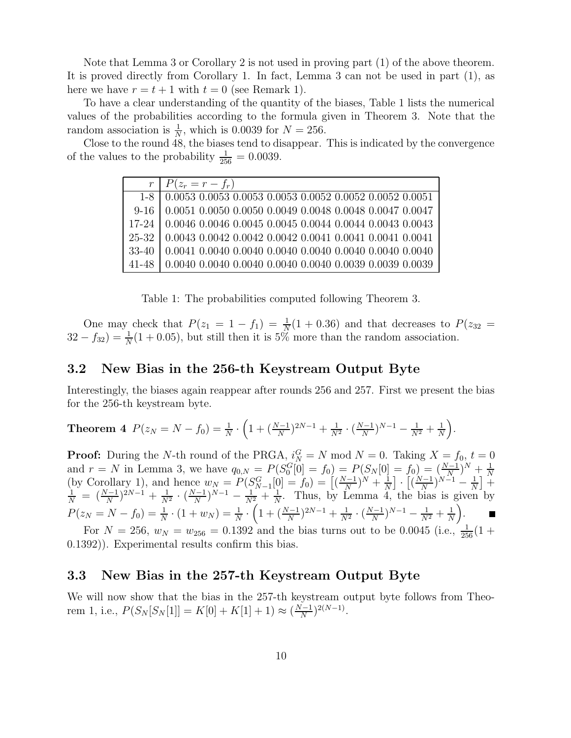Note that Lemma 3 or Corollary 2 is not used in proving part (1) of the above theorem. It is proved directly from Corollary 1. In fact, Lemma 3 can not be used in part (1), as here we have  $r = t + 1$  with  $t = 0$  (see Remark 1).

To have a clear understanding of the quantity of the biases, Table 1 lists the numerical values of the probabilities according to the formula given in Theorem 3. Note that the random association is  $\frac{1}{N}$ , which is 0.0039 for  $N = 256$ .

Close to the round 48, the biases tend to disappear. This is indicated by the convergence of the values to the probability  $\frac{1}{256} = 0.0039$ .

| $r \mid P(z_r = r - f_r)$                                                                                                                                                                                                                                                                 |
|-------------------------------------------------------------------------------------------------------------------------------------------------------------------------------------------------------------------------------------------------------------------------------------------|
|                                                                                                                                                                                                                                                                                           |
| $\begin{tabular}{c c c c c} $1-8$ & $0.0053$ & $0.0053$ & $0.0053$ & $0.0053$ & $0.0052$ & $0.0052$ & $0.0052$ & $0.0051$ \\ $9-16$ & $0.0051$ & $0.0050$ & $0.0049$ & $0.0048$ & $0.0048$ & $0.0047$ & $0.0047$ \\ $17-24$ & $0.0046$ & $0.0045$ & $0.0045$ & $0.0044$ & $0.0044$ & $0.$ |
|                                                                                                                                                                                                                                                                                           |
| $25-32$ 0.0043 0.0042 0.0042 0.0042 0.0041 0.0041 0.0041 0.0041                                                                                                                                                                                                                           |
| 33-40 0.0041 0.0040 0.0040 0.0040 0.0040 0.0040 0.0040 0.0040                                                                                                                                                                                                                             |
| $41-48$ 0.0040 0.0040 0.0040 0.0040 0.0040 0.0039 0.0039 0.0039                                                                                                                                                                                                                           |

Table 1: The probabilities computed following Theorem 3.

One may check that  $P(z_1 = 1 - f_1) = \frac{1}{N}$  $\frac{1}{N}(1+0.36)$  and that decreases to  $P(z_{32})$  $32 - f_{32} = \frac{1}{N}$  $\frac{1}{N}(1+0.05)$ , but still then it is 5% more than the random association.

#### 3.2 New Bias in the 256-th Keystream Output Byte

Interestingly, the biases again reappear after rounds 256 and 257. First we present the bias for the 256-th keystream byte.

**Theorem 4** 
$$
P(z_N = N - f_0) = \frac{1}{N} \cdot \left(1 + \left(\frac{N-1}{N}\right)^{2N-1} + \frac{1}{N^2} \cdot \left(\frac{N-1}{N}\right)^{N-1} - \frac{1}{N^2} + \frac{1}{N}\right).
$$

**Proof:** During the N-th round of the PRGA,  $i_N^G = N \text{ mod } N = 0$ . Taking  $X = f_0, t = 0$ and  $r = N$  in Lemma 3, we have  $q_{0,N} = P(S_0^G[0] = f_0) = P(S_N[0] = f_0) = \left(\frac{N-1}{N}\right)$  $(\frac{N-1}{N})^N + \frac{1}{N}$ (by Corollary 1), and hence  $w_N = P(S_{N-1}^G[0] = f_0) = \left[ \left( \frac{N-1}{N} \right)^N + \frac{1}{N} \right] \cdot \left[ \left( \frac{N-1}{N} \right)^{N-1} - \frac{1}{N} \right] +$  $\frac{(n-1)}{N}$ )<sup>N</sup> +  $\frac{1}{N}$  $\frac{1}{N}$   $\cdot$   $\left[\left(\frac{N-1}{N}\right)$  $\frac{(n-1)}{N}$ ) $N-1-1$  $\frac{1}{N}$  +  $\frac{1}{N}$  =  $\left(\frac{N-1}{N}\right)$  $\frac{(N-1)}{N}$ ) $^{2N-1}$  +  $\frac{1}{N}$  $\frac{1}{N^2} \cdot \left(\frac{N-1}{N}\right)$  $\frac{(N-1)}{N}$  $\bigg\{N-1 - \frac{1}{N^2} + \frac{1}{N}\bigg\}$  $\frac{1}{N}$ . Thus, by Lemma 4, the bias is given by  $P(z_N = N - f_0) = \frac{1}{N}$  $\frac{1}{N} \cdot (1 + w_N) = \frac{1}{N}$  $\frac{1}{N} \cdot \left(1 + \left(\frac{N-1}{N}\right)\right)$  $\frac{(N-1)}{N}$ )<sup>2N-1</sup> +  $\frac{1}{N}$  $\frac{1}{N^2} \cdot \left(\frac{N-1}{N}\right)$  $\frac{(N-1)}{N}$ )<sup>N-1</sup> –  $\frac{1}{N^2}$  +  $\frac{1}{N}$  $\frac{1}{N}$ .

For  $N = 256$ ,  $w_N = w_{256} = 0.1392$  and the bias turns out to be 0.0045 (i.e.,  $\frac{1}{256}(1 +$ 0.1392)). Experimental results confirm this bias.

#### 3.3 New Bias in the 257-th Keystream Output Byte

We will now show that the bias in the 257-th keystream output byte follows from Theorem 1, i.e.,  $P(S_N[S_N[1]] = K[0] + K[1] + 1) \approx \left(\frac{N-1}{N}\right)$  $\frac{N-1}{N}$ )<sup>2(N-1)</sup>.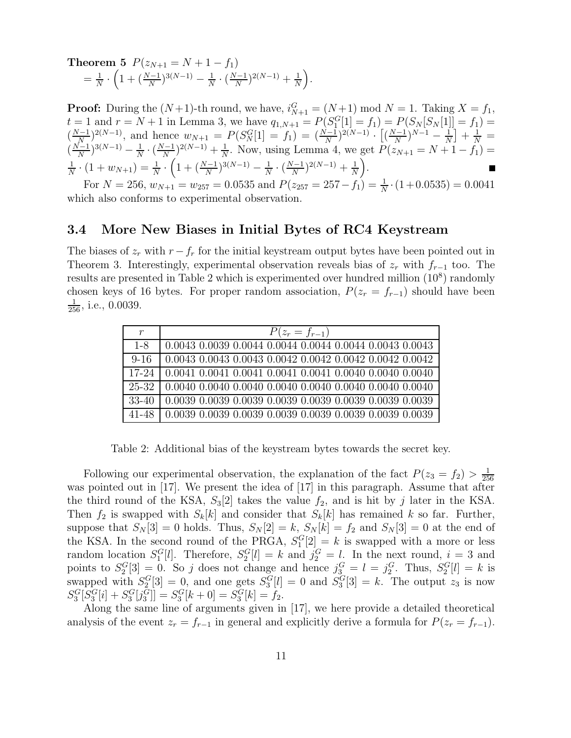**Theorem 5**  $P(z_{N+1} = N + 1 - f_1)$  $=\frac{1}{\lambda}$  $\frac{1}{N} \cdot \left( 1 + (\frac{N-1}{N}\right)$  $\frac{(N-1)}{N}$ <sup>3(N-1)</sup> –  $\frac{1}{N}$  $\frac{1}{N} \cdot \left(\frac{N-1}{N}\right)$  $\frac{(N-1)}{N}$ )<sup>2(N-1)</sup> +  $\frac{1}{N}$  $\frac{1}{N}$ .

**Proof:** During the  $(N+1)$ -th round, we have,  $i_{N+1}^G = (N+1) \text{ mod } N = 1$ . Taking  $X = f_1$ ,  $t = 1$  and  $r = N + 1$  in Lemma 3, we have  $q_{1,N+1} = P(S_1^G[1] = f_1) = P(S_N[S_N[1]] = f_1)$  $\left(\frac{N-1}{N}\right)$  $\frac{(N-1)}{N}$ )<sup>2(N-1)</sup>, and hence  $w_{N+1} = P(S_N^G[1] = f_1) = (\frac{N-1}{N})$  $\frac{\binom{N-1}{N}}{N}$ <sup>2(N-1)</sup> ·  $\left[\left(\frac{N-1}{N}\right)$  $\frac{N-1}{N}$ ) $N-1-\frac{1}{N}$  $\frac{1}{N}$  +  $\frac{1}{N}$  =  $\left(\frac{N-1}{N}\right)$  $\frac{1}{N}$ )<sup>3(N-1)</sup> –  $\frac{1}{N}$  $\frac{1}{N} \cdot \left(\frac{N-1}{N}\right)$  $\frac{(N-1)}{N}$ <sup>2(N-1)</sup> +  $\frac{1}{N}$  $\frac{1}{N}$ . Now, using Lemma 4, we get  $P(z_{N+1} = N + 1 - f_1) =$ 1  $\frac{1}{N} \cdot (1 + w_{N+1}) = \frac{1}{N}$  $\frac{1}{N} \cdot \left(1 + \left(\frac{N-1}{N}\right)\right)$  $\frac{(N-1)}{N}$ <sup>3(N-1)</sup> –  $\frac{1}{N}$  $\frac{1}{N} \cdot \left(\frac{N-1}{N}\right)$  $\frac{(N-1)}{N}$ )<sup>2(N-1)</sup> +  $\frac{1}{N}$  $\frac{1}{N}$ .

For  $N = 256$ ,  $w_{N+1} = w_{257} = 0.0535$  and  $P(z_{257} = 257 - f_1) = \frac{1}{N}$  $\frac{1}{N} \cdot (1 + 0.0535) = 0.0041$ which also conforms to experimental observation.

#### 3.4 More New Biases in Initial Bytes of RC4 Keystream

The biases of  $z_r$  with  $r-f_r$  for the initial keystream output bytes have been pointed out in Theorem 3. Interestingly, experimental observation reveals bias of  $z_r$  with  $f_{r-1}$  too. The results are presented in Table 2 which is experimented over hundred million  $(10^8)$  randomly chosen keys of 16 bytes. For proper random association,  $P(z_r = f_{r-1})$  should have been  $\frac{1}{256}$ , i.e., 0.0039.

| $\,r$    | $P(z_r = f_{r-1})$                                             |
|----------|----------------------------------------------------------------|
| $1 - 8$  | 0.0043 0.0039 0.0044 0.0044 0.0044 0.0044 0.0043 0.0043        |
| $9 - 16$ | $\mid$ 0.0043 0.0043 0.0043 0.0042 0.0042 0.0042 0.0042 0.0042 |
| $17-24$  | 0.0041 0.0041 0.0041 0.0041 0.0041 0.0040 0.0040 0.0040        |
| 25-32    | $\mid$ 0.0040 0.0040 0.0040 0.0040 0.0040 0.0040 0.0040 0.0040 |
| 33-40    | $\mid$ 0.0039 0.0039 0.0039 0.0039 0.0039 0.0039 0.0039 0.0039 |
| 41-48    | 0.0039 0.0039 0.0039 0.0039 0.0039 0.0039 0.0039 0.0039        |

Table 2: Additional bias of the keystream bytes towards the secret key.

Following our experimental observation, the explanation of the fact  $P(z_3 = f_2) > \frac{1}{25}$ 256 was pointed out in [17]. We present the idea of [17] in this paragraph. Assume that after the third round of the KSA,  $S_3[2]$  takes the value  $f_2$ , and is hit by j later in the KSA. Then  $f_2$  is swapped with  $S_k[k]$  and consider that  $S_k[k]$  has remained k so far. Further, suppose that  $S_N[3] = 0$  holds. Thus,  $S_N[2] = k$ ,  $S_N[k] = f_2$  and  $S_N[3] = 0$  at the end of the KSA. In the second round of the PRGA,  $S_1^G[2] = k$  is swapped with a more or less random location  $S_1^G[l]$ . Therefore,  $S_2^G[l] = k$  and  $j_2^G = l$ . In the next round,  $i = 3$  and points to  $S_2^G[3] = 0$ . So j does not change and hence  $j_3^G = l = j_2^G$ . Thus,  $S_2^G[l] = k$  is swapped with  $S_2^G[3] = 0$ , and one gets  $S_3^G[l] = 0$  and  $S_3^G[3] = k$ . The output  $z_3$  is now  $S_3^G[S_3^G[i] + S_3^G[j_3^G]] = S_3^G[k+0] = S_3^G[k] = f_2.$ 

Along the same line of arguments given in [17], we here provide a detailed theoretical analysis of the event  $z_r = f_{r-1}$  in general and explicitly derive a formula for  $P(z_r = f_{r-1})$ .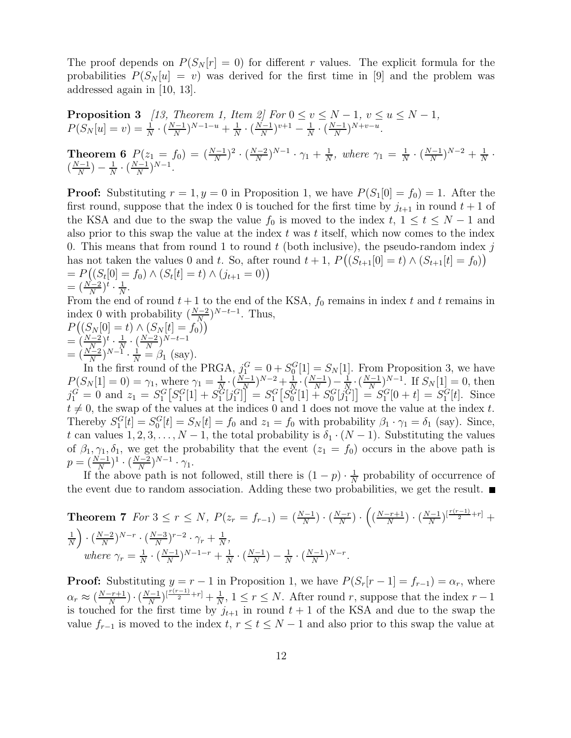The proof depends on  $P(S_N[r] = 0)$  for different r values. The explicit formula for the probabilities  $P(S_N[u] = v)$  was derived for the first time in [9] and the problem was addressed again in [10, 13].

**Proposition 3** [13, Theorem 1, Item 2] For 
$$
0 \le v \le N - 1
$$
,  $v \le u \le N - 1$ ,  
\n
$$
P(S_N[u] = v) = \frac{1}{N} \cdot (\frac{N-1}{N})^{N-1-u} + \frac{1}{N} \cdot (\frac{N-1}{N})^{v+1} - \frac{1}{N} \cdot (\frac{N-1}{N})^{N+v-u}.
$$
\n**Theorem 6** 
$$
P(z_1 = f_0) = (\frac{N-1}{N})^2 \cdot (\frac{N-2}{N})^{N-1} \cdot \gamma_1 + \frac{1}{N}
$$
, where  $\gamma_1 = \frac{1}{N} \cdot (\frac{N-1}{N})^{N-2} + \frac{1}{N} \cdot (\frac{N-1}{N})^{N-1}.$ 

**Proof:** Substituting  $r = 1, y = 0$  in Proposition 1, we have  $P(S_1[0] = f_0) = 1$ . After the first round, suppose that the index 0 is touched for the first time by  $j_{t+1}$  in round  $t+1$  of the KSA and due to the swap the value  $f_0$  is moved to the index  $t, 1 \le t \le N - 1$  and also prior to this swap the value at the index  $t$  was  $t$  itself, which now comes to the index 0. This means that from round 1 to round  $t$  (both inclusive), the pseudo-random index  $j$ has not taken the values 0 and t. So, after round  $t + 1$ ,  $P((S_{t+1}[0] = t) \wedge (S_{t+1}[t] = f_0))$  $= P((S_t[0] = f_0) \wedge (S_t[t] = t) \wedge (j_{t+1} = 0))$  $=\left(\frac{N-2}{N}\right)$  $(\frac{r-2}{N})^t \cdot \frac{1}{N}$  $\frac{1}{N}$ .

From the end of round  $t + 1$  to the end of the KSA,  $f_0$  remains in index t and t remains in index 0 with probability  $\left(\frac{N-2}{N}\right)$  $\frac{N-2}{N}$ )<sup>*N*-t-1</sup>. Thus,

$$
P((S_N[0] = t) \land (S_N[t] = f_0))
$$
  
=  $\left(\frac{N-2}{N}\right)^t \cdot \frac{1}{N} \cdot \left(\frac{N-2}{N}\right)^{N-t-1}$   
=  $\left(\frac{N-2}{N}\right)^{N-1} \cdot \frac{1}{N} = \beta_1$  (say).

In the first round of the PRGA,  $j_1^G = 0 + S_0^G[1] = S_N[1]$ . From Proposition 3, we have  $P(S_N[1] = 0) = \gamma_1$ , where  $\gamma_1 = \frac{1}{N}$  $\frac{1}{N} \cdot \left(\frac{N-1}{N}\right)$  $(\frac{1}{N})^{N-2} + \frac{1}{N}$  $\frac{1}{N} \cdot \left( \frac{N-1}{N} \right)$  $\frac{N-1}{N}$ ) –  $\frac{1}{N}$  $\frac{1}{N} \cdot \left( \frac{N-1}{N} \right)$  $\frac{N-1}{N}$ <sup>N-1</sup>. If  $S_N[1] = 0$ , then  $j_1^G = 0$  and  $z_1 = S_1^G[S_1^G[1] + S_1^G[j_1^G]] = S_1^G[S_0^G[1] + S_0^G[j_1^G]] = S_1^G[0 + t] = S_1^G[t]$ . Since  $t \neq 0$ , the swap of the values at the indices 0 and 1 does not move the value at the index t. Thereby  $S_1^G[t] = S_0^G[t] = S_N[t] = f_0$  and  $z_1 = f_0$  with probability  $\beta_1 \cdot \gamma_1 = \delta_1$  (say). Since, t can values  $1, 2, 3, \ldots, N-1$ , the total probability is  $\delta_1 \cdot (N-1)$ . Substituting the values of  $\beta_1, \gamma_1, \delta_1$ , we get the probability that the event  $(z_1 = f_0)$  occurs in the above path is  $p = (\frac{N-1}{N})$  $\frac{(N-1)}{N})^1 \cdot (\frac{N-2}{N})$  $\frac{N-2}{N}\big)^{N-1} \cdot \gamma_1.$ 

If the above path is not followed, still there is  $(1-p) \cdot \frac{1}{N}$  $\frac{1}{N}$  probability of occurrence of the event due to random association. Adding these two probabilities, we get the result.  $\blacksquare$ 

**Theorem 7** For 
$$
3 \le r \le N
$$
,  $P(z_r = f_{r-1}) = \left(\frac{N-1}{N}\right) \cdot \left(\frac{N-r}{N}\right) \cdot \left(\frac{N-1}{N}\right) \cdot \left(\frac{N-1}{N}\right)^{\left[\frac{r(r-1)}{2} + r\right]} + \frac{1}{N} \cdot \left(\frac{N-2}{N}\right)^{N-r} \cdot \left(\frac{N-3}{N}\right)^{r-2} \cdot \gamma_r + \frac{1}{N},$   
where  $\gamma_r = \frac{1}{N} \cdot \left(\frac{N-1}{N}\right)^{N-1-r} + \frac{1}{N} \cdot \left(\frac{N-1}{N}\right) - \frac{1}{N} \cdot \left(\frac{N-1}{N}\right)^{N-r}.$ 

**Proof:** Substituting  $y = r - 1$  in Proposition 1, we have  $P(S_r[r-1] = f_{r-1}) = \alpha_r$ , where  $\alpha_r \approx \left(\frac{N-r+1}{N}\right)$  $\frac{-(r+1)}{N}$   $\cdot$   $\left(\frac{N-1}{N}\right)$  $\frac{N}{N}$ ) $\left[\frac{r(r-1)}{2} + r\right] + \frac{1}{N}$  $\frac{1}{N}$ ,  $1 \leq r \leq N$ . After round r, suppose that the index  $r-1$ is touched for the first time by  $j_{t+1}$  in round  $t + 1$  of the KSA and due to the swap the value  $f_{r-1}$  is moved to the index  $t, r \le t \le N-1$  and also prior to this swap the value at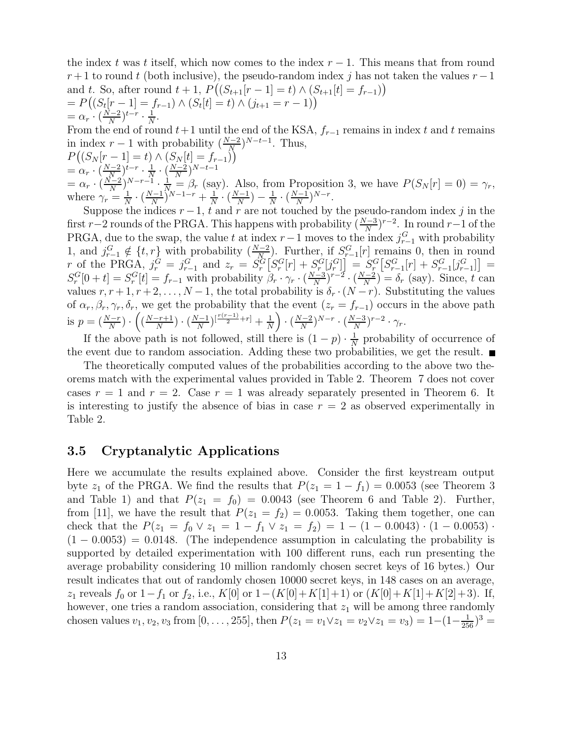the index t was t itself, which now comes to the index  $r-1$ . This means that from round  $r+1$  to round t (both inclusive), the pseudo-random index j has not taken the values  $r-1$ and t. So, after round  $t + 1$ ,  $P((S_{t+1}[r-1] = t) \wedge (S_{t+1}[t] = f_{r-1}))$  $= P((S_t[r-1] = f_{r-1}) \wedge (S_t[t] = t) \wedge (j_{t+1} = r - 1))$  $=\alpha_r \cdot (\frac{N-2}{N})$  $(\frac{\bar{t}-2}{N})^{t-r} \cdot \frac{1}{N}$  $\frac{1}{N}$ .

From the end of round  $t+1$  until the end of the KSA,  $f_{r-1}$  remains in index t and t remains in index  $r-1$  with probability  $\left(\frac{N-2}{N}\right)$  $\frac{N-2}{N}$ )<sup>*N*-t-1</sup>. Thus,

$$
P\left((S_N[r-1]=t)\wedge (S_N[t]=f_{r-1})\right)
$$
  
=  $\alpha_r \cdot \left(\frac{N-2}{N}\right)^{t-r} \cdot \frac{1}{N} \cdot \left(\frac{N-2}{N}\right)^{N-t-1}$   
=  $\alpha_r \cdot \left(\frac{N-2}{N}\right)^{N-r-1} \cdot \frac{1}{N} = \beta_r$  (say). Also, from Proposition 3, we have  $P(S_N[r]=0) = \gamma_r$ , where  $\gamma_r = \frac{1}{N} \cdot \left(\frac{N-1}{N}\right)^{N-1-r} + \frac{1}{N} \cdot \left(\frac{N-1}{N}\right) - \frac{1}{N} \cdot \left(\frac{N-1}{N}\right)^{N-r}$ .

Suppose the indices  $r-1$ , t and r are not touched by the pseudo-random index j in the first r-2 rounds of the PRGA. This happens with probability  $\left(\frac{N-3}{N}\right)$  $(\frac{N-3}{N})^{r-2}$ . In round r–1 of the PRGA, due to the swap, the value t at index  $r-1$  moves to the index  $j_{r-1}^G$  with probability 1, and  $j_{r-1}^G \notin \{t, r\}$  with probability  $\left(\frac{N-2}{N}\right)$  $\frac{N-2}{N}$ . Further, if  $S_{r-1}^G[r]$  remains 0, then in round r of the PRGA,  $j_r^G = j_{r-1}^G$  and  $z_r = S_r^G[S_r^G[r] + S_{r}^G[j_r^G] = S_r^G[S_{r-1}^G[r] + S_{r-1}^G[j_{r-1}^G] =$  $S_r^G[0+t] = S_r^G[t] = f_{r-1}$  with probability  $\beta_r \cdot \gamma_r \cdot (\frac{N-3}{N})$  $\frac{(N-2)}{N}$  $r-2$  ( $\frac{N-2}{N}$  $\frac{(-2)}{N}$  =  $\delta_r$  (say). Since, t can values  $r, r+1, r+2, \ldots, N-1$ , the total probability is  $\delta_r \cdot (N-r)$ . Substituting the values of  $\alpha_r, \beta_r, \gamma_r, \delta_r$ , we get the probability that the event  $(z_r = f_{r-1})$  occurs in the above path is  $p = \left(\frac{N-r}{N}\right)$  $\frac{N-r}{N}$ )  $\cdot$   $\left( \left( \frac{N-r+1}{N} \right)$  $\frac{(-r+1)}{N}$   $\cdot$   $\left(\frac{N-1}{N}\right)$  $\frac{(-1)}{N}$  $\left[\frac{r(r-1)}{2}+r\right]$  +  $\frac{1}{N}$  $\frac{1}{N}$   $\cdot$   $\left(\frac{N-2}{N}\right)$  $\frac{N-2}{N}$ ) $N-r$ . ( $\frac{N-3}{N}$  $\frac{N-3}{N}$ )<sup>r-2</sup> ·  $\gamma_r$ .

If the above path is not followed, still there is  $(1-p) \cdot \frac{1}{N}$  $\frac{1}{N}$  probability of occurrence of the event due to random association. Adding these two probabilities, we get the result.  $\blacksquare$ 

The theoretically computed values of the probabilities according to the above two theorems match with the experimental values provided in Table 2. Theorem 7 does not cover cases  $r = 1$  and  $r = 2$ . Case  $r = 1$  was already separately presented in Theorem 6. It is interesting to justify the absence of bias in case  $r = 2$  as observed experimentally in Table 2.

#### 3.5 Cryptanalytic Applications

Here we accumulate the results explained above. Consider the first keystream output byte  $z_1$  of the PRGA. We find the results that  $P(z_1 = 1 - f_1) = 0.0053$  (see Theorem 3 and Table 1) and that  $P(z_1 = f_0) = 0.0043$  (see Theorem 6 and Table 2). Further, from [11], we have the result that  $P(z_1 = f_2) = 0.0053$ . Taking them together, one can check that the  $P(z_1 = f_0 \vee z_1 = 1 - f_1 \vee z_1 = f_2) = 1 - (1 - 0.0043) \cdot (1 - 0.0053) \cdot$  $(1 - 0.0053) = 0.0148$ . (The independence assumption in calculating the probability is supported by detailed experimentation with 100 different runs, each run presenting the average probability considering 10 million randomly chosen secret keys of 16 bytes.) Our result indicates that out of randomly chosen 10000 secret keys, in 148 cases on an average, z<sub>1</sub> reveals  $f_0$  or  $1-f_1$  or  $f_2$ , i.e.,  $K[0]$  or  $1-(K[0]+K[1]+1)$  or  $(K[0]+K[1]+K[2]+3)$ . If, however, one tries a random association, considering that  $z_1$  will be among three randomly chosen values  $v_1, v_2, v_3$  from  $[0, \ldots, 255]$ , then  $P(z_1 = v_1 \vee z_1 = v_2 \vee z_1 = v_3) = 1 - (1 - \frac{1}{256})^3$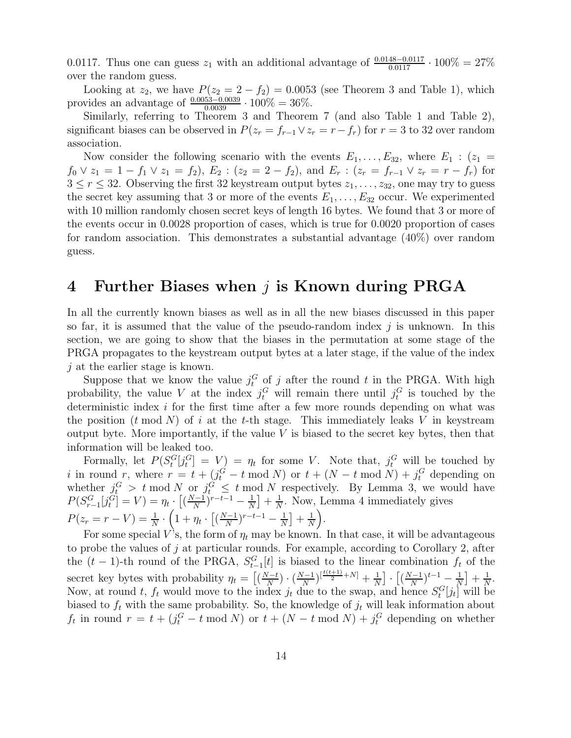0.0117. Thus one can guess  $z_1$  with an additional advantage of  $\frac{0.0148-0.0117}{0.0117} \cdot 100\% = 27\%$ over the random guess.

Looking at  $z_2$ , we have  $P(z_2 = 2 - f_2) = 0.0053$  (see Theorem 3 and Table 1), which provides an advantage of  $\frac{0.0053-0.0039}{0.0039} \cdot 100\% = 36\%.$ 

Similarly, referring to Theorem 3 and Theorem 7 (and also Table 1 and Table 2), significant biases can be observed in  $P(z_r = f_{r-1} \vee z_r = r - f_r)$  for  $r = 3$  to 32 over random association.

Now consider the following scenario with the events  $E_1, \ldots, E_{32}$ , where  $E_1$ :  $(z_1 =$  $f_0 \vee z_1 = 1 - f_1 \vee z_1 = f_2$ ,  $E_2 : (z_2 = 2 - f_2)$ , and  $E_r : (z_r = f_{r-1} \vee z_r = r - f_r)$  for  $3 \leq r \leq 32$ . Observing the first 32 keystream output bytes  $z_1, \ldots, z_{32}$ , one may try to guess the secret key assuming that 3 or more of the events  $E_1, \ldots, E_{32}$  occur. We experimented with 10 million randomly chosen secret keys of length 16 bytes. We found that 3 or more of the events occur in 0.0028 proportion of cases, which is true for 0.0020 proportion of cases for random association. This demonstrates a substantial advantage (40%) over random guess.

## 4 Further Biases when j is Known during PRGA

In all the currently known biases as well as in all the new biases discussed in this paper so far, it is assumed that the value of the pseudo-random index  $j$  is unknown. In this section, we are going to show that the biases in the permutation at some stage of the PRGA propagates to the keystream output bytes at a later stage, if the value of the index j at the earlier stage is known.

Suppose that we know the value  $j_t^G$  of j after the round t in the PRGA. With high probability, the value V at the index  $j_t^G$  will remain there until  $j_t^G$  is touched by the deterministic index i for the first time after a few more rounds depending on what was the position  $(t \mod N)$  of i at the t-th stage. This immediately leaks V in keystream output byte. More importantly, if the value  $V$  is biased to the secret key bytes, then that information will be leaked too.

Formally, let  $P(S_t^G[j_t^G] = V) = \eta_t$  for some V. Note that,  $j_t^G$  will be touched by i in round r, where  $r = t + (j_t^G - t \mod N)$  or  $t + (N - t \mod N) + j_t^G$  depending on whether  $j_t^G > t \mod N$  or  $j_t^G \leq t \mod N$  respectively. By Lemma 3, we would have  $P(S_{r-1}^G[j_t^G] = V) = \eta_t \cdot \left[ \left( \frac{N-1}{N} \right) \right]$  $\frac{(-1)}{N}$ <sup>r-t-1</sup> –  $\frac{1}{N}$  $\frac{1}{N}$  +  $\frac{1}{N}$  $\frac{1}{N}$ . Now, Lemma 4 immediately gives  $P(z_r = r - V) = \frac{1}{N}$  $\frac{1}{N} \cdot \left( 1 + \eta_t \cdot \big[\big(\frac{N-1}{N}$  $\frac{(-1)}{N}$ <sup>r-t-1</sup> –  $\frac{1}{N}$  $\frac{1}{N}$  +  $\frac{1}{N}$  $\frac{1}{N}$ .

For some special V's, the form of  $\eta_t$  may be known. In that case, it will be advantageous to probe the values of  $j$  at particular rounds. For example, according to Corollary 2, after the  $(t-1)$ -th round of the PRGA,  $S_{t-1}^G[t]$  is biased to the linear combination  $f_t$  of the secret key bytes with probability  $\eta_t = \left[ \left( \frac{N-t}{N} \right) \right]$  $\frac{N-t}{N}$ )  $\cdot$   $\left(\frac{N-1}{N}\right)$  $\frac{N}{N}\big)^{\left[\frac{t(t+1)}{2}+N\right]}+\frac{1}{N}$  $\frac{1}{N}$   $\cdot$   $\left[\left(\frac{N-1}{N}\right)$  $(\frac{N-1}{N})^{t-1} - \frac{1}{N}$  $\frac{1}{N}$  +  $\frac{1}{N}$  $\frac{1}{N}$ . Now, at round t,  $f_t$  would move to the index  $j_t$  due to the swap, and hence  $S_t^G[j_t]$  will be biased to  $f_t$  with the same probability. So, the knowledge of  $j_t$  will leak information about  $f_t$  in round  $r = t + (j_t^G - t \mod N)$  or  $t + (N - t \mod N) + j_t^G$  depending on whether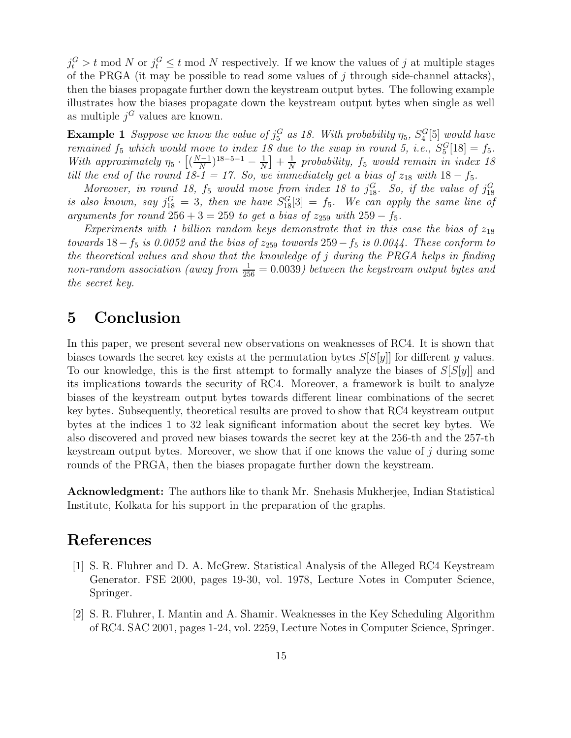$j_t^G > t \mod N$  or  $j_t^G \leq t \mod N$  respectively. If we know the values of j at multiple stages of the PRGA (it may be possible to read some values of  $j$  through side-channel attacks), then the biases propagate further down the keystream output bytes. The following example illustrates how the biases propagate down the keystream output bytes when single as well as multiple  $j^G$  values are known.

**Example 1** Suppose we know the value of  $j_5^G$  as 18. With probability  $\eta_5$ ,  $S_4^G[5]$  would have  $_5$  as i.o. we all providently  $\eta_5$ ,  $\omega_4$ remained  $f_5$  which would move to index 18 due to the swap in round 5, i.e.,  $S_5^G[18] = f_5$ . With approximately  $\eta_5 \cdot \left[ \left( \frac{N-1}{N} \right)$  $\frac{(n-1)}{N}$ <sup>18–5–1</sup> –  $\frac{1}{N}$  $\frac{1}{N}$  +  $\frac{1}{N}$  $\frac{1}{N}$  probability,  $f_5$  would remain in index 18 till the end of the round 18-1 = 17. So, we immediately get a bias of  $z_{18}$  with  $18 - f_5$ .

Moreover, in round 18,  $f_5$  would move from index 18 to  $j_{18}^G$ . So, if the value of  $j_{18}^G$ is also known, say  $j_{18}^G = 3$ , then we have  $S_{18}^G[3] = f_5$ . We can apply the same line of arguments for round  $256 + 3 = 259$  to get a bias of  $z_{259}$  with  $259 - f_5$ .

Experiments with 1 billion random keys demonstrate that in this case the bias of  $z_{18}$ towards  $18-f_5$  is 0.0052 and the bias of  $z_{259}$  towards  $259-f_5$  is 0.0044. These conform to the theoretical values and show that the knowledge of j during the PRGA helps in finding non-random association (away from  $\frac{1}{256} = 0.0039$ ) between the keystream output bytes and the secret key.

## 5 Conclusion

In this paper, we present several new observations on weaknesses of RC4. It is shown that biases towards the secret key exists at the permutation bytes  $S[S|y]$  for different y values. To our knowledge, this is the first attempt to formally analyze the biases of  $S[S|y]$  and its implications towards the security of RC4. Moreover, a framework is built to analyze biases of the keystream output bytes towards different linear combinations of the secret key bytes. Subsequently, theoretical results are proved to show that RC4 keystream output bytes at the indices 1 to 32 leak significant information about the secret key bytes. We also discovered and proved new biases towards the secret key at the 256-th and the 257-th keystream output bytes. Moreover, we show that if one knows the value of j during some rounds of the PRGA, then the biases propagate further down the keystream.

Acknowledgment: The authors like to thank Mr. Snehasis Mukherjee, Indian Statistical Institute, Kolkata for his support in the preparation of the graphs.

### References

- [1] S. R. Fluhrer and D. A. McGrew. Statistical Analysis of the Alleged RC4 Keystream Generator. FSE 2000, pages 19-30, vol. 1978, Lecture Notes in Computer Science, Springer.
- [2] S. R. Fluhrer, I. Mantin and A. Shamir. Weaknesses in the Key Scheduling Algorithm of RC4. SAC 2001, pages 1-24, vol. 2259, Lecture Notes in Computer Science, Springer.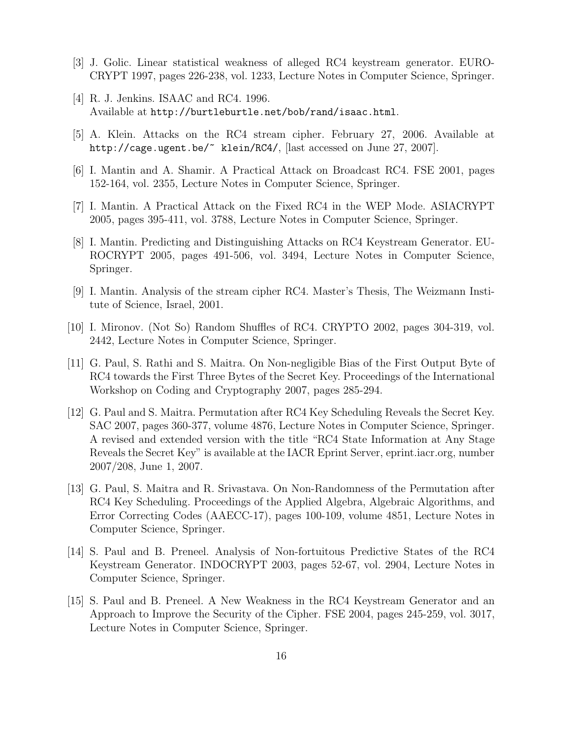- [3] J. Golic. Linear statistical weakness of alleged RC4 keystream generator. EURO-CRYPT 1997, pages 226-238, vol. 1233, Lecture Notes in Computer Science, Springer.
- [4] R. J. Jenkins. ISAAC and RC4. 1996. Available at http://burtleburtle.net/bob/rand/isaac.html.
- [5] A. Klein. Attacks on the RC4 stream cipher. February 27, 2006. Available at http://cage.ugent.be/~ klein/RC4/, [last accessed on June 27, 2007].
- [6] I. Mantin and A. Shamir. A Practical Attack on Broadcast RC4. FSE 2001, pages 152-164, vol. 2355, Lecture Notes in Computer Science, Springer.
- [7] I. Mantin. A Practical Attack on the Fixed RC4 in the WEP Mode. ASIACRYPT 2005, pages 395-411, vol. 3788, Lecture Notes in Computer Science, Springer.
- [8] I. Mantin. Predicting and Distinguishing Attacks on RC4 Keystream Generator. EU-ROCRYPT 2005, pages 491-506, vol. 3494, Lecture Notes in Computer Science, Springer.
- [9] I. Mantin. Analysis of the stream cipher RC4. Master's Thesis, The Weizmann Institute of Science, Israel, 2001.
- [10] I. Mironov. (Not So) Random Shuffles of RC4. CRYPTO 2002, pages 304-319, vol. 2442, Lecture Notes in Computer Science, Springer.
- [11] G. Paul, S. Rathi and S. Maitra. On Non-negligible Bias of the First Output Byte of RC4 towards the First Three Bytes of the Secret Key. Proceedings of the International Workshop on Coding and Cryptography 2007, pages 285-294.
- [12] G. Paul and S. Maitra. Permutation after RC4 Key Scheduling Reveals the Secret Key. SAC 2007, pages 360-377, volume 4876, Lecture Notes in Computer Science, Springer. A revised and extended version with the title "RC4 State Information at Any Stage Reveals the Secret Key" is available at the IACR Eprint Server, eprint.iacr.org, number 2007/208, June 1, 2007.
- [13] G. Paul, S. Maitra and R. Srivastava. On Non-Randomness of the Permutation after RC4 Key Scheduling. Proceedings of the Applied Algebra, Algebraic Algorithms, and Error Correcting Codes (AAECC-17), pages 100-109, volume 4851, Lecture Notes in Computer Science, Springer.
- [14] S. Paul and B. Preneel. Analysis of Non-fortuitous Predictive States of the RC4 Keystream Generator. INDOCRYPT 2003, pages 52-67, vol. 2904, Lecture Notes in Computer Science, Springer.
- [15] S. Paul and B. Preneel. A New Weakness in the RC4 Keystream Generator and an Approach to Improve the Security of the Cipher. FSE 2004, pages 245-259, vol. 3017, Lecture Notes in Computer Science, Springer.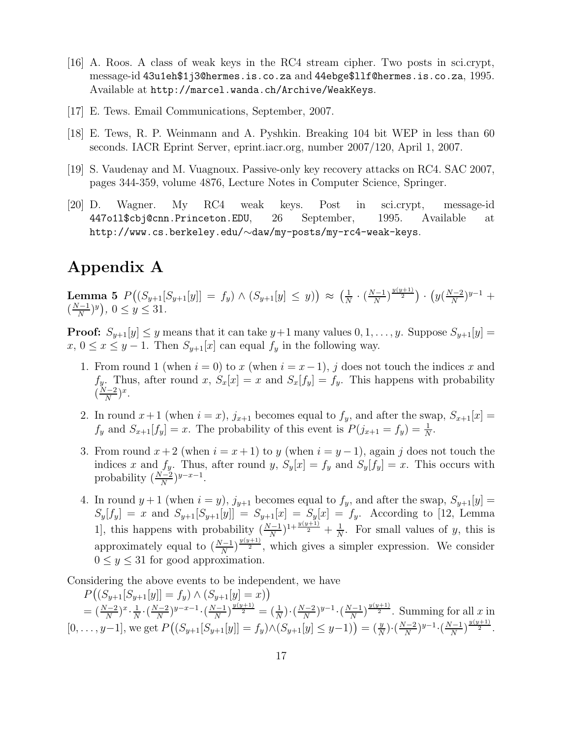- [16] A. Roos. A class of weak keys in the RC4 stream cipher. Two posts in sci.crypt, message-id 43u1eh\$1j3@hermes.is.co.za and 44ebge\$llf@hermes.is.co.za, 1995. Available at http://marcel.wanda.ch/Archive/WeakKeys.
- [17] E. Tews. Email Communications, September, 2007.
- [18] E. Tews, R. P. Weinmann and A. Pyshkin. Breaking 104 bit WEP in less than 60 seconds. IACR Eprint Server, eprint.iacr.org, number 2007/120, April 1, 2007.
- [19] S. Vaudenay and M. Vuagnoux. Passive-only key recovery attacks on RC4. SAC 2007, pages 344-359, volume 4876, Lecture Notes in Computer Science, Springer.
- [20] D. Wagner. My RC4 weak keys. Post in sci.crypt, message-id 447o1l\$cbj@cnn.Princeton.EDU, 26 September, 1995. Available at http://www.cs.berkeley.edu/∼daw/my-posts/my-rc4-weak-keys.

## Appendix A

Lemma 5  $P((S_{y+1}[S_{y+1}[y]] = f_y) \wedge (S_{y+1}[y] \le y)) \approx (\frac{1}{N})$  $\frac{1}{N} \cdot \left(\frac{N-1}{N}\right)$  $\frac{y(y+1)}{N}$   $\cdot$   $\left(y(\frac{N-2}{N}\right)$  $\frac{y-2}{N}$ )<sup>y-1</sup> +  $\left(\frac{N-1}{N}\right)$  $\frac{y-1}{N}$  $(y)$ ,  $0 \le y \le 31$ .

**Proof:**  $S_{y+1}[y] \leq y$  means that it can take  $y+1$  many values  $0, 1, \ldots, y$ . Suppose  $S_{y+1}[y]$  =  $x, 0 \le x \le y - 1$ . Then  $S_{y+1}[x]$  can equal  $f_y$  in the following way.

- 1. From round 1 (when  $i = 0$ ) to x (when  $i = x 1$ ), j does not touch the indices x and  $f_y$ . Thus, after round x,  $S_x[x] = x$  and  $S_x[f_y] = f_y$ . This happens with probability  $\left(\frac{N-2}{N}\right)$  $\frac{N-2}{N}$ )<sup>x</sup>.
- 2. In round  $x+1$  (when  $i = x$ ),  $j_{x+1}$  becomes equal to  $f_y$ , and after the swap,  $S_{x+1}[x] =$  $f_y$  and  $S_{x+1}[f_y] = x$ . The probability of this event is  $P(j_{x+1} = f_y) = \frac{1}{N}$  $\frac{1}{N}$ .
- 3. From round  $x + 2$  (when  $i = x + 1$ ) to y (when  $i = y 1$ ), again j does not touch the indices x and  $f_y$ . Thus, after round y,  $S_y[x] = f_y$  and  $S_y[f_y] = x$ . This occurs with probability  $\left(\frac{N-2}{N}\right)$  $\frac{y-2}{N}$ ) $y-x-1$ .
- 4. In round  $y+1$  (when  $i = y$ ),  $j_{y+1}$  becomes equal to  $f_y$ , and after the swap,  $S_{y+1}[y] =$  $S_y[f_y] = x$  and  $S_{y+1}[S_{y+1}[y]] = S_{y+1}[x] = S_y[x] = f_y$ . According to [12, Lemma 1], this happens with probability  $\left(\frac{N-1}{N}\right)$  $\frac{N-1}{N}$ )<sup>1+ $\frac{y(y+1)}{2}$ </sup> +  $\frac{1}{N}$  $\frac{1}{N}$ . For small values of y, this is approximately equal to  $\left(\frac{N-1}{N}\right)$  $\frac{N-1}{N}\big)^{\frac{y(y+1)}{2}}$ , which gives a simpler expression. We consider  $0 \leq y \leq 31$  for good approximation.

Considering the above events to be independent, we have

 $P((S_{y+1}[S_{y+1}[y]] = f_y) \wedge (S_{y+1}[y] = x))$  $=\left(\frac{N-2}{N}\right)$  $\frac{N-2}{N}$ ) $x \cdot \frac{1}{N}$  $\frac{1}{N} \cdot \left(\frac{N-2}{N}\right)$  $\frac{N-2}{N}$ )<sup>y-x-1</sup> · ( $\frac{N-1}{N}$  $\frac{N}{N}$ ) $\frac{y(y+1)}{2} = \left(\frac{1}{N}\right)$  $\frac{1}{N}$ )  $\cdot$   $\left(\frac{N-2}{N}\right)$  $\frac{N-1}{N}$ )<sup>y-1</sup> · ( $\frac{N-1}{N}$  $\frac{y(-1)}{N}$ )<sup> $\frac{y(y+1)}{2}$ </sup>. Summing for all x in  $[0, \ldots, y-1],$  we get  $P((S_{y+1}[S_{y+1}[y]] = f_y) \wedge (S_{y+1}[y] \le y-1)) = (\frac{y}{\Delta})$  $\frac{y}{N}$ )  $\cdot \left( \frac{N-2}{N} \right)$  $\frac{N-2}{N}$ ) $y-1 \cdot (\frac{N-1}{N})$  $\frac{y(y+1)}{N}$ <sup> $\frac{y(y+1)}{2}$ </sup>.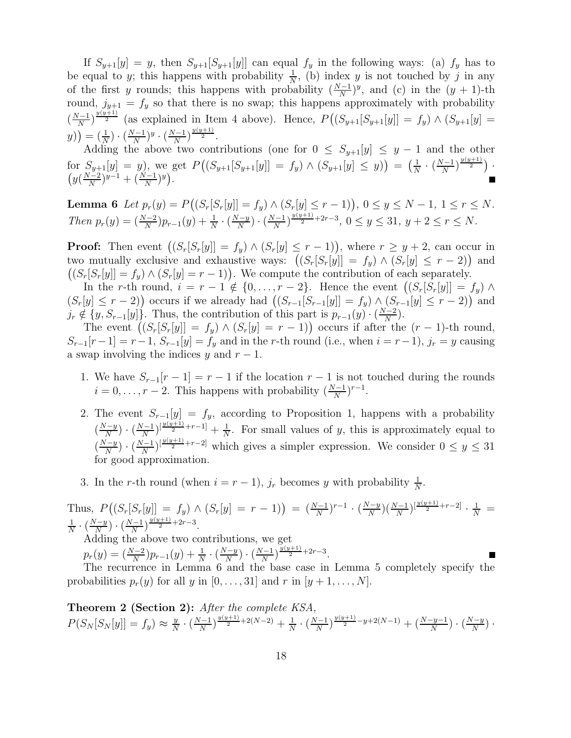If  $S_{y+1}[y] = y$ , then  $S_{y+1}[S_{y+1}[y]]$  can equal  $f_y$  in the following ways: (a)  $f_y$  has to be equal to y; this happens with probability  $\frac{1}{\lambda}$  $\frac{1}{N}$ , (b) index y is not touched by j in any of the first y rounds; this happens with probability  $\left(\frac{N-1}{N}\right)$  $\frac{N}{N}$ )<sup>y</sup>, and (c) in the  $(y + 1)$ -th round,  $j_{y+1} = f_y$  so that there is no swap; this happens approximately with probability  $\left(\frac{N-1}{N}\right)$  $\frac{N-1}{N}$ )<sup> $\frac{y(y+1)}{2}$ </sup> (as explained in Item 4 above). Hence,  $P((S_{y+1}[S_{y+1}[y]] = f_y) \wedge (S_{y+1}[y]] = f_y)$  $(y)\big) = \left(\frac{1}{N}\right)$  $\frac{1}{N}$ )  $\cdot$   $\left(\frac{N-1}{N}\right)$  $\frac{N-1}{N}$ )<sup>y</sup> · ( $\frac{N-1}{N}$  $\frac{y(y+1)}{N}$   $\frac{y(y+1)}{2}$ .

Adding the above two contributions (one for  $0 \leq S_{y+1}[y] \leq y-1$  and the other for  $S_{y+1}[y] = y$ , we get  $P((S_{y+1}[S_{y+1}[y]] = f_y) \wedge (S_{y+1}[y] \le y)) = (\frac{1}{N})$  $\frac{1}{N} \cdot \left(\frac{N-1}{N}\right)$  $\frac{y(y+1)}{N}$ ).  $\left(y\left(\frac{N-2}{N}\right)\right)$  $(\frac{N-2}{N})^{y-1} + (\frac{N-1}{N})$  $\frac{y-1}{N}$  $)^y$ .

**Lemma 6** Let  $p_r(y) = P((S_r[S_r[y]] = f_y) \wedge (S_r[y] \le r - 1)), 0 \le y \le N - 1, 1 \le r \le N$ . Then  $p_r(y) = \left(\frac{N-2}{N}\right)$  $\frac{N-2}{N}$ ) $p_{r-1}(y) + \frac{1}{N}$  $\frac{1}{N} \cdot \left(\frac{N-y}{N}\right)$  $\frac{N-y}{N}$ )  $\cdot$   $\left(\frac{N-1}{N}\right)$  $\frac{N-1}{N}$ )<sup> $\frac{y(y+1)}{2}$ +2r−3, 0  $\leq y \leq 31$ ,  $y+2 \leq r \leq N$ .</sup>

**Proof:** Then event  $((S_r[S_r[y]] = f_y) \wedge (S_r[y] \leq r-1))$ , where  $r \geq y+2$ , can occur in two mutually exclusive and exhaustive ways:  $((S_r[S_r[y]] = f_y) \wedge (S_r[y] \leq r - 2))$  and  $((S_r[S_r[y]] = f_y) \wedge (S_r[y] = r - 1)).$  We compute the contribution of each separately.

In the r-th round,  $i = r - 1 \notin \{0, \ldots, r - 2\}$ . Hence the event  $((S_r[S_r[y]] = f_y) \wedge$  $(S_r[y] \leq r-2)$  occurs if we already had  $((S_{r-1}[S_{r-1}[y]] = f_y) \wedge (S_{r-1}[y] \leq r-2))$  and  $j_r \notin \{y, S_{r-1}[y]\}.$  Thus, the contribution of this part is  $p_{r-1}(y) \cdot (\frac{N-2}{N})$  $\frac{(-2)}{N}$ ).

The event  $((S_r[S_r[y]] = f_y) \wedge (S_r[y] = r - 1))$  occurs if after the  $(r - 1)$ -th round,  $S_{r-1}[r-1] = r-1$ ,  $S_{r-1}[y] = f_y$  and in the r-th round (i.e., when  $i = r-1$ ),  $j_r = y$  causing a swap involving the indices y and  $r - 1$ .

- 1. We have  $S_{r-1}[r-1] = r-1$  if the location  $r-1$  is not touched during the rounds  $i = 0, \ldots, r-2$ . This happens with probability  $\left(\frac{N-1}{N}\right)$  $\frac{N-1}{N}$ )<sup>r-1</sup>.
- 2. The event  $S_{r-1}[y] = f_y$ , according to Proposition 1, happens with a probability  $\left(\frac{N-y}{N}\right)$  $\frac{N-y}{N}$ )  $\cdot$   $\left(\frac{N-1}{N}\right)$  $\frac{N}{N}\Big[\frac{y(y+1)}{2}+r-1\Big] + \frac{1}{N}$  $\frac{1}{N}$ . For small values of y, this is approximately equal to  $\left(\frac{N-y}{N}\right)$  $\frac{N-y}{N}$ )  $\cdot$   $\left(\frac{N-1}{N}\right)$  $\frac{N-1}{N}$ <sup>[ $\frac{y(y+1)}{2}$ +r−2]</sup> which gives a simpler expression. We consider  $0 \le y \le 31$ for good approximation.
- 3. In the r-th round (when  $i = r 1$ ),  $j_r$  becomes y with probability  $\frac{1}{N}$  $\frac{1}{N}$ .

Thus,  $P((S_r[S_r[y]]) = f_y) \wedge (S_r[y] = r - 1)) = (\frac{N-1}{N})$  $\frac{(N-1)}{N}$ )<sup>r-1</sup> · ( $\frac{N-y}{N}$  $\frac{(N-1)}{N}$  $\left(\frac{N-1}{N}\right)^{\left[\frac{y(y+1)}{2}+r-2\right]}$   $\cdot$   $\frac{1}{N}$  = 1  $\frac{1}{N} \cdot \left( \frac{N-y}{N} \right)$  $\frac{N-y}{N}$ )  $\cdot$   $\left(\frac{N-1}{N}\right)$  $\frac{y(y+1)}{2} + 2r - 3$ . Adding the above two contributions, we get  $p_r(y) = (\frac{N-2}{N})$  $\frac{N-2}{N}$ ) $p_{r-1}(y) + \frac{1}{N}$  $\frac{1}{N} \cdot \left(\frac{N-y}{N}\right)$  $\frac{N-y}{N}$ )  $\cdot$   $\left(\frac{N-1}{N}\right)$  $\frac{y(y+1)}{N}$  $\frac{y(y+1)}{2}$ +2r-3. The recurrence in Lemma 6 and the base case in Lemma 5 completely specify the

probabilities  $p_r(y)$  for all y in  $[0, \ldots, 31]$  and r in  $[y + 1, \ldots, N]$ .

Theorem 2 (Section 2): After the complete KSA,  $P(S_N[S_N[y]] = f_y) \approx \frac{y}{N}$  $\frac{y}{N} \cdot \left(\frac{N-1}{N}\right)$  $\frac{N-1}{N}$ ) $\frac{y(y+1)}{2}$ +2(N-2) +  $\frac{1}{N}$  $\frac{1}{N} \cdot \left(\frac{N-1}{N}\right)$  $\frac{N^{(y+1)}}{N}$ <sup>y(y+1)</sup> -y+2(N-1) + ( $\frac{N-y-1}{N}$  $\frac{-y-1}{N}$ )  $\cdot$   $\left(\frac{N-y}{N}\right)$  $\frac{(-y)}{N}$ ).